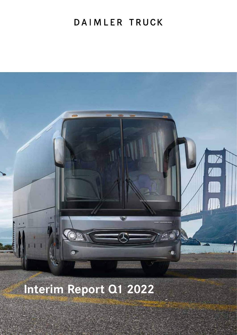## DAIMLER TRUCK



# **Interim Report Q1 2022**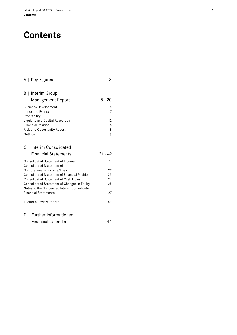## **Contents**

| A   Key Figures                                                                            | 3         |
|--------------------------------------------------------------------------------------------|-----------|
| B   Interim Group                                                                          |           |
| Management Report                                                                          | $5 - 20$  |
| <b>Business Development</b><br><b>Important Events</b>                                     | 5<br>7    |
| Profitability                                                                              | 8         |
| <b>Liquidity and Capital Resources</b>                                                     | 12        |
| <b>Financial Position</b>                                                                  | 16        |
| Risk and Opportunity Report<br>Outlook                                                     | 18<br>19  |
|                                                                                            |           |
| C   Interim Consolidated                                                                   |           |
| <b>Financial Statements</b>                                                                | $21 - 42$ |
| <b>Consolidated Statement of Income</b><br><b>Consolidated Statement of</b>                | 21        |
| Comprehensive Income/Loss                                                                  | 22        |
| <b>Consolidated Statement of Financial Position</b>                                        | 23        |
| <b>Consolidated Statement of Cash Flows</b>                                                | 24        |
| Consolidated Statement of Changes in Equity<br>Notes to the Condensed Interim Consolidated | 25        |
| <b>Financial Statements</b>                                                                | 27        |
| Auditor's Review Report                                                                    | 43        |
| D   Further Informationen,                                                                 |           |

|  | <b>Financial Calender</b> | 44 |
|--|---------------------------|----|
|  |                           |    |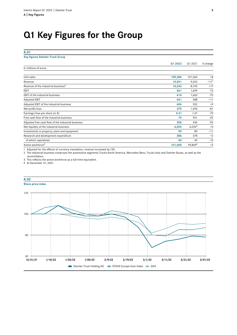## **Q1 Key Figures for the Group**

#### **A.01**

#### **Key figures Daimler Truck Group**

|                                                    | Q1 2022 | Q1 2021            | % change |
|----------------------------------------------------|---------|--------------------|----------|
| In millions of euros                               |         |                    |          |
| Unit sales                                         | 109,286 | 101,364            | $+8$     |
| Revenue                                            | 10,551  | 9,023              | $+171$   |
| Revenue of the industrial business <sup>2</sup>    | 10,242  | 8,745              | $+17$    |
| EBIT                                               | 461     | 1,699              | $-73$    |
| EBIT of the industrial business                    | 414     | 1,663              | $-75$    |
| <b>Adjusted EBIT</b>                               | 651     | 588                | $+11$    |
| Adjusted EBIT of the industrial business           | 604     | 552                | $+9$     |
| Net profit/loss                                    | 275     | 1,443              | $-81$    |
| Earnings/loss per share (in $\epsilon$ )           | 0.31    | 1.47               | $-79$    |
| Free cash flow of the industrial business          | 73      | 931                | $-92$    |
| Adjusted free cash flow of the industrial business | 206     | 434                | $-53$    |
| Net liquidity of the industrial business           | 6,053   | 6,024 <sup>4</sup> | $+0$     |
| Investments in property, plant and equipment       | 99      | 89                 | $+11$    |
| Research and development expenditure               | 386     | 378                | $+2$     |
| of which capitalized                               | 40      | 45                 | $-10$    |
| Active workforce <sup>3</sup>                      | 101,600 | 99,8494            | $+2$     |

1 Adjusted for the effects of currency translation, revenue increased by13%.

2 The industrial business comprises the automotive segments Trucks North America, Mercedes-Benz, Trucks Asia and Daimler Buses, as well as the reconciliation.

3 This reflects the active workforce as a full-time equivalent.

4 At December 31, 2021.



## **A.02**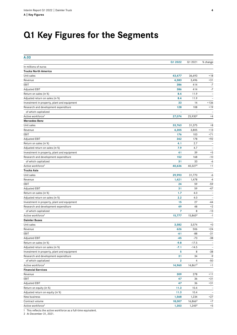## **Q1 Key Figures for the Segments**

| A.03                                        |              |                          |                          |
|---------------------------------------------|--------------|--------------------------|--------------------------|
|                                             | Q1 2022      | Q1 2021                  | % change                 |
| In millions of euros                        |              |                          |                          |
| <b>Trucks North America</b>                 |              |                          |                          |
| Unit sales                                  | 43,477       | 36,693                   | $+18$                    |
| Revenue                                     | 4,583        | 3,496                    | $+31$                    |
| EBIT                                        | 386          | 414                      | $-7$                     |
| <b>Adjusted EBIT</b>                        | 386          | 414                      | $-7$                     |
| Return on sales (in %)                      | 8.4          | 11.9                     | $\overline{\phantom{a}}$ |
| Adjusted return on sales (in %)             | 8.4          | 11.9                     | $\overline{\phantom{a}}$ |
| Investment in property, plant and equipment | 33           | 14                       | $+136$                   |
| Research and development expenditure        | 128          | 108                      | $+19$                    |
| of which capitalized                        |              | $\overline{\phantom{a}}$ |                          |
| Active workforce <sup>1</sup>               | 27,074       | 25,930 <sup>2</sup>      | $+4$                     |
| Mercedes-Benz                               |              |                          |                          |
| Unit sales                                  | 33,763       | 31,375                   | $+8$                     |
| Revenue                                     | 4,305        | 3,805                    | $+13$                    |
| EBIT                                        | 176          | 103                      | $+71$                    |
| <b>Adjusted EBIT</b>                        | 342          | 178                      | $+92$                    |
| Return on sales (in %)                      | 4.1          | 2.7                      | $\overline{\phantom{a}}$ |
| Adjusted return on sales (in %)             | 7.9          | 4.7                      |                          |
| Investment in property, plant and equipment | 41           | 39                       | $+5$                     |
| Research and development expenditure        | 152          | 168                      | $-10$                    |
| of which capitalized                        | 31           | 33                       | -6                       |
| Active workforce <sup>1</sup>               | 40,636       | 40,3272                  | $+1$                     |
| <b>Trucks Asia</b>                          |              |                          |                          |
| Unit sales                                  | 29,993       | 31,770                   | -6                       |
| Revenue                                     | 1,421        | 1,478                    | $-4$                     |
| EBIT                                        | 24           | 59                       | $-59$                    |
| Adjusted EBIT                               | 31           | 59                       | $-47$                    |
| Return on sales (in %)                      | 1.7          | 4.0                      |                          |
| Adjusted return on sales (in %)             | 2.2          | 4.0                      | $\overline{\phantom{a}}$ |
| Investment in property, plant and equipment | 15           | 27                       | $-44$                    |
| Research and development expenditure        | 49           | 48                       | $+2$                     |
| of which capitalized                        | 7            | 8                        | $-13$                    |
| Active workforce <sup>1</sup>               | 15,777       | 15,865 <sup>2</sup>      | $-1$                     |
| <b>Daimler Buses</b>                        |              |                          |                          |
| Unit sales                                  | 3,582        | 3,574                    | $+0$                     |
| Revenue                                     | 626          | 506                      | $+24$                    |
| EBIT                                        | -61          | -88                      | $-31$                    |
| Adjusted EBIT                               | $-45$        | $-73$                    | $-38$                    |
| Return on sales (in %)                      | $-9.8$       | $-17.5$                  |                          |
| Adjusted return on sales (in %)             | $-7.1$       | $-14.5$                  | $\overline{\phantom{a}}$ |
| Investment in property, plant and equipment | 5            | 8                        | $-38$                    |
| Research and development expenditure        | 31           | 34                       | $-9$                     |
| of which capitalized                        | $\mathbf{2}$ | 4                        | $-50$                    |
| Active workforce <sup>1</sup>               | 14,960       | 14,8612                  | $+1$                     |
| <b>Financial Services</b>                   |              |                          |                          |
| Revenue                                     | 309          | 278                      | $+11$                    |
| EBIT                                        | 47           | 36                       | $+31$                    |
| Adjusted EBIT                               | 47           | 36                       | $+31$                    |
| Return on equity (in %)                     | 11.3         | 10.4                     |                          |
| Adjusted return on equity (in %)            | 11.3         | 10.4                     |                          |
| New business                                | 1,568        | 1,234                    | $+27$                    |
| Contract volume                             | 18,007       | 16,866 <sup>2</sup>      | $+7$                     |
| Active workforce <sup>1</sup>               | 1,303        | 1,245 <sup>2</sup>       | $+5$                     |
|                                             |              |                          |                          |

1 This reflects the active workforce as a full-time equivalent.

2 At December 31, 2021.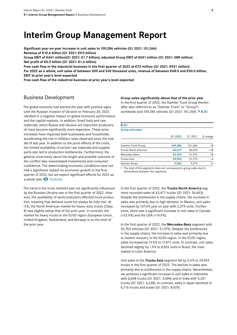## **Interim Group Management Report**

**Significant year-on-year increase in unit sales to109,286 vehicles (Q1 2021:101,364) Revenue of €10.6 billion (Q1 2021: €9.0 billion) Group EBIT of €461 million(Q1 2021: €1.7 billion); adjusted Group EBIT of €651 million (Q1 2021: 588 million)**

**Net profit of €0.3 billion (Q1 2021: €1.4 billion)**

**Free cash flow in the industrial business in the first quarter of 2022 at €73 million (Q1 2021: €931 million) For 2022 as a whole, unit sales of between 500 and 520 thousand units, revenue of between €48.0 and €50.0 billion, EBIT at prior year's level expected** 

**Free cash flow of the industrial business at prior year's level expected**

## Business Development

The global economy had started the year with positive signs until the Russian invasion of Ukraine on February 24, 2022 resulted in a negative impact on global economic performance and the capital markets. In addition, fossil fuels and raw materials, which Russia and Ukraine are important producers of, have become significantly more expensive. These price increases have impacted both businesses and households, accelerating the rise in inflation rates observed since the middle of last year. In addition to the price effects of the crisis, the limited availability of certain raw materials and supplier parts also led to production bottlenecks. Furthermore, the general uncertainty about the length and possible outcome of the conflict also exacerbated investments and consumer confidence. The deteriorating economic conditions have not had a significant impact on economic growth in the first quarter of 2022, but we expect significant effects for 2022 as a whole (see  $\bullet$  [Outlook\).](#page-18-0)

The trend in the truck markets was not significantly influenced by the Russian-Ukraine war in the first quarter of 2022. However, the availability of semiconductors affected truck production, meaning that demand could not always be fully met. At –5%, the North American market for heavy-duty trucks (Class 8) was slightly below that of the prior year. In contrast, the market for heavy trucks in the EU30 region (European Union, United Kingdom, Switzerland, and Norway) is on the level of the prior year.

**Group sales significantly above that of the prior year** In the first quarter of 2022, the Daimler Truck Group (hereinafter also referred to as "Daimler Truck" or "Group")

worldwide sold 109,286 vehicles (Q1 2021: 101,364)  $\overline{A}$  B.01.

| <b>B.01</b>                   |         |         |          |
|-------------------------------|---------|---------|----------|
| Group unit sales <sup>1</sup> |         |         |          |
|                               | Q1 2022 | Q1 2021 | % change |
| Daimler Truck Group           | 109,286 | 101,364 | $+8$     |
| <b>Trucks North America</b>   | 43,477  | 36,693  | $+18$    |
| Mercedes-Benz                 | 33,763  | 31,375  | $+8$     |
| Trucks Asia                   | 29,993  | 31,770  | $-6$     |
| Daimler Buses                 | 3,582   | 3,574   | $+0$     |

1 The total of the segments does not correspond to group sales due to eliminations between the segments.

In the first quarter of 2022, the **Trucks North America** segment recorded sales of 43,477 trucks (Q1 2021: 36,693). Despite the bottlenecks in the supply chains, the increase in sales was primarily due to high demand. In Mexico, unit sales increased by107.0% year on year with 2,279 units. Furthermore, there was a significant increase in unit sales in Canada (+23.4%) and the USA (+14.9%).

In the first quarter of 2022, the **Mercedes-Benz** segment sold 33,763 vehicles (Q1 2021: 31,375). Despite the bottlenecks in the supply chains, the increase in sales was primarily due to market recovery in the EU30 region. In the EU30 region, sales increased by 13.8% to 17,477 units. In contrast, unit sales declined slightly by1.9% to 8,852 units in Brazil, the main market in Latin America.

Unit sales in the **Trucks Asia** segment fell by 5.6% to 29,993 trucks in the first quarter of 2022. The decline in sales was primarily due to bottlenecks in the supply chains. Nevertheless, we achieved a significant increase in unit sales in Indonesia with 6,608 trucks (Q1 2021: 3,684) and in India with 5,251 trucks (Q1 2021: 4,638). In contrast, sales in Japan declined to 6,716 trucks and buses (Q1 2021: 8,929).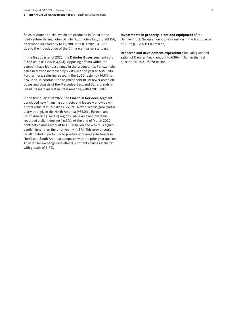Sales of Auman trucks, which are produced in China in the joint venture Beijing Foton Daimler Automotive Co., Ltd. (BFDA), decreased significantly to15,788 units (Q1 2021: 41,855) due to the introduction of the China 6 emission standard.

In the first quarter of 2022, the **Daimler Buses** segment sold 3,582 units (Q1 2021: 3,574). Opposing effects within the segment have led to a change in the product mix. For example, sales in Mexico increased by 29.8% year on year to 536 units. Furthermore, sales increased in the EU30 region by 14.8% to 776 units. In contrast, the segment sold 18.3% fewer complete buses and chassis of the Mercedes-Benz and Setra brands in Brazil, its main market in Latin America, with 1,281 units.

In the first quarter of 2022, the **Financial Services** segment concluded new financing contracts and leases worldwide with a total value of €1.6 billion (+27,1%). New business grew particularly strongly in the North America (+31.0%), Europe, and South America (+62.4%) regions, while Asia and overseas recorded a slight decline (-6.5%). At the end of March 2022, contract volumes amount to €18.0 billion and was thus significantly higher than the prior year (+11.8%). This growth could be attributed in particular to positive exchange rate trends in North and South America compared with the prior-year quarter. Adjusted for exchange-rate effects, contract volumes stabilized with growth of 3.7%.

#### **Investments in property, plant and equipment** of the

Daimler Truck Group amount to €99 million in the first quarter of 2022 (Q1 2021: €89 million).

**Research and development expenditure** including capitalization of Daimler Truck amount to €386 million in the first quarter (Q1 2021: €378 million).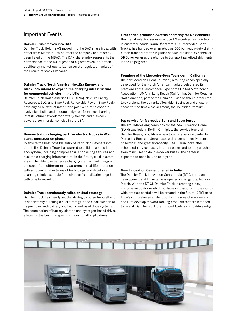### Important Events

#### **Daimler Truck moves into DAX**

Daimler Truck Holding AG moved into the DAX share index with effect from March 21, 2022, after the company had recently been listed on the MDAX. The DAX share index represents the performance of the 40 largest and highest-revenue German equities by market capitalization on the regulated market of the Frankfurt Stock Exchange.

#### **Daimler Truck North America, NextEra Energy, and BlackRock intend to expand the charging infrastructure for commercial vehicles in the USA**

Daimler Truck North America LLC (DTNA), NextEra Energy Resources, LLC, and BlackRock Renewable Power (BlackRock) have signed a letter of intent for a joint venture to cooperatively plan, build, and operate a high-performance charging infrastructure network for battery-electric and fuel-cellpowered commercial vehicles in the USA.

#### **Demonstration charging park for electric trucks in Wörth starts construction phase**

To ensure the best possible entry of its truck customers into e-mobility, Daimler Truck has started to build up a holistic eco-system, including comprehensive consulting services and a suitable charging infrastructure. In the future, truck customers will be able to experience charging stations and charging concepts from different manufacturers in real-life operation with an open mind in terms of technology and develop a charging solution suitable for their specific application together with on-site experts.

#### **Daimler Truck consistently relies on dual strategy**

Daimler Truck has clearly set the strategic course for itself and is consistently pursuing a dual strategy in the electrification of its portfolio: with battery and hydrogen-based drive systems. The combination of battery-electric and hydrogen-based drives allows for the best transport solutions for all applications.

#### **First series-produced eActros operating for DB Schenker**

The first all-electric series-produced Mercedes-Benz eActros is in customer hands: Karin Rådström, CEO Mercedes-Benz Trucks, has handed over an eActros 300 for heavy-duty distribution transport to the logistics service provider DB Schenker. DB Schenker uses the eActros to transport palletized shipments in the Leipzig area.

#### **Premiere of the Mercedes-Benz Tourrider in California**

The new Mercedes-Benz Tourrider, a touring coach specially developed for the North American market, celebrated its premiere at the Motorcoach Expo of the United Motorcoach Association (UMA) in Long Beach (California). Daimler Coaches North America, part of the Daimler Buses segment, presented two versions: the upmarket Tourrider Business and a luxury coach for the first-class segment, the Tourrider Premium.

#### **Top service for Mercedes-Benz and Setra buses**

The groundbreaking ceremony for the new BusWorld Home (BWH) was held in Berlin: Omniplus, the service brand of Daimler Buses, is building a new top-class service center for Mercedes-Benz and Setra buses with a comprehensive range of services and greater capacity. BWH Berlin looks after scheduled-service buses, intercity buses and touring coaches from minibuses to double-decker buses. The center is expected to open in June next year.

#### **New Innovation Center opened in India**

The Daimler Truck Innovation Center India (DTICI) product development and IT center was opened in Bangalore, India in March. With the DTICI, Daimler Truck is creating a new, in-house incubator in which scalable innovations for the worldwide product portfolio will be created in the future. DTICI uses India's comprehensive talent pool in the area of engineering and IT to develop forward-looking products that are intended to give all Daimler Truck brands worldwide a competitive edge.

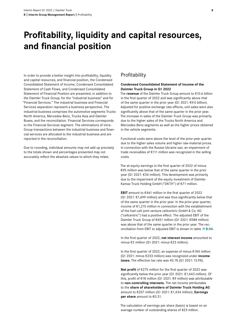## **Profitability, liquidity and capital resources, and financial position**

In order to provide a better insight into profitability, liquidity and capital resources, and financial position, the Condensed Consolidated Statement of Income, Condensed Consolidated Statement of Cash Flows, and Condensed Consolidated Statement of Financial Position are presented, in addition to the Daimler Truck Group, for the "industrial business" and for "Financial Services." The industrial business and Financial Services separation represent a business perspective. The industrial business comprises the automotive segments Trucks North America, Mercedes-Benz, Trucks Asia and Daimler Buses, and the reconciliation. Financial Services corresponds to the Financial Services segment. The eliminations of intra-Group transactions between the industrial business and financial services are allocated to the industrial business and are reported in the reconciliation.

Due to rounding, individual amounts may not add up precisely to the totals shown and percentages presented may not accurately reflect the absolute values to which they relate.

### Profitability

#### **Condensed Consolidated Statement of Income of the Daimler Truck Group in Q1 2022**

The **revenue** of the Daimler Truck Group amount to €10.6 billion in the first quarter of 2022 and was significantly above that of the same quarter in the prior year (Q1 2021: €9.0 billion). Adjusted for positive exchange rate effects, unit sales were also significantly above that of the same quarter in the prior year. The increase in sales of the Daimler Truck Group was primarily due to the higher sales of the Trucks North America and Mercedes-Benz segments as well as the higher prices obtained in the vehicle segments.

Functional costs were above the level of the prior-year quarter due to the higher sales volume and higher raw-material prices. In connection with the Russia-Ukraine war, an impairment of trade receivables of €111 million was recognized in the selling costs.

The at-equity earnings in the first quarter of 2022 of minus €95 million was below that of the same quarter in the prior year (Q1 2021: €34 million). This development was primarily due to the impairment of the equity investment of Daimler Kamaz Truck Holding GmbH ("DKTH") of €71 million.

**EBIT** amount to €461 million in the first quarter of 2022 (Q1 2021: €1,699 million) and was thus significantly below that of the same quarter in the prior year. In the prior-year quarter, income of €1,215 million in connection with the establishment of the fuel-cell joint venture cellcentric GmbH & Co. KG ("cellcentric") had a positive effect. The adjusted EBIT of the Daimler Truck Group of €651 million (Q1 2021: €588 million) was above that of the same quarter in the prior year. The reconciliation from EBIT to adjusted EBIT is shown in table  $\overline{7}$  B.04.

In the first quarter of 2022, **net interest income** amounted to minus €2 million (Q1 2021: minus €23 million).

In the first quarter of 2022, an expense of minus €184 million (Q1 2021: minus €233 million) was recognized under **income taxes.** The effective tax rate was 40.1% (Q1 2021:13.9%).

**Net profit** of €275 million for the first quarter of 2022 was significantly below the prior year (Q1 2021: €1,443 million). Of this, profit of €18 million (Q1 2021: €9 million) was attributable to **non-controlling interests.** The net income attributable to the **share of shareholders of Daimler Truck Holding AG**  amount to €257 million (Q1 2021: €1,434 million). **Earnings per share** amount to €0.31.

The calculation of earnings per share (basic) is based on an average number of outstanding shares of 823 million.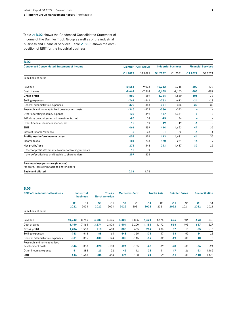Table  $\overline{A}$  B.02 shows the Condensed Consolidated Statement of Income of the Daimler Truck Group as well as of the industrial business and Financial Services. Table  $\overline{A}$  B.03 shows the composition of EBIT for the industrial business.

### **B.02**

| <b>Condensed Consolidated Statement of Income</b>                                  |          | <b>Daimler Truck Group</b> |          | <b>Industrial business</b> |         | <b>Financial Services</b> |  |
|------------------------------------------------------------------------------------|----------|----------------------------|----------|----------------------------|---------|---------------------------|--|
|                                                                                    | Q1 2022  | Q1 2021                    | Q1 2022  | Q1 2021                    | Q1 2022 | Q1 2021                   |  |
| In millions of euros                                                               |          |                            |          |                            |         |                           |  |
| Revenue                                                                            | 10,551   | 9,023                      | 10,242   | 8,745                      | 309     | 278                       |  |
| Cost of sales                                                                      | $-8,662$ | $-7,364$                   | $-8,459$ | $-7,165$                   | $-203$  | $-199$                    |  |
| <b>Gross profit</b>                                                                | 1,889    | 1,659                      | 1,784    | 1,580                      | 106     | 78                        |  |
| Selling expenses                                                                   | $-767$   | $-641$                     | $-743$   | $-613$                     | $-24$   | $-28$                     |  |
| General administrative expenses                                                    | $-370$   | $-388$                     | $-331$   | $-356$                     | $-39$   | $-32$                     |  |
| Research and non-capitalized development costs                                     | $-346$   | $-333$                     | $-346$   | $-333$                     | ۰       | $\overline{\phantom{a}}$  |  |
| Other operating income/expense                                                     | 132      | 1,349                      | 127      | 1,331                      | 5       | 18                        |  |
| Prift/loss on equity-method investments, net                                       | $-95$    | 34                         | $-95$    | 34                         | ۰       | $\overline{\phantom{0}}$  |  |
| Other financial income/expense, net                                                | 18       | 19                         | 19       | 19                         | $-1$    | $\overline{\phantom{0}}$  |  |
| <b>EBIT</b>                                                                        | 461      | 1,699                      | 414      | 1,663                      | 47      | 36                        |  |
| Interest income/expense                                                            | $-2$     | $-23$                      | -1       | $-22$                      | $-1$    | $-1$                      |  |
| Profit/loss before income taxes                                                    | 459      | 1,676                      | 413      | 1,641                      | 46      | 35                        |  |
| Income taxes                                                                       | $-184$   | $-233$                     | $-170$   | $-224$                     | $-14$   | $-9$                      |  |
| Net profit/loss                                                                    | 275      | 1,443                      | 243      | 1,417                      | 32      | 26                        |  |
| thereof profit attributable to non-controlling interests                           | 18       | 9                          |          |                            |         |                           |  |
| thereof profit/loss attributable to shareholders                                   | 257      | 1,434                      |          |                            |         |                           |  |
| Earnings/loss per share (in euros)<br>for profit/loss attributable to shareholders |          |                            |          |                            |         |                           |  |
| <b>Basic and diluted</b>                                                           | 0.31     | 1.74                       |          |                            |         |                           |  |

| <b>B.03</b>                                       |                        |                                      |                        |                                       |                        |                        |                        |                        |                        |                        |                        |                        |
|---------------------------------------------------|------------------------|--------------------------------------|------------------------|---------------------------------------|------------------------|------------------------|------------------------|------------------------|------------------------|------------------------|------------------------|------------------------|
| <b>EBIT of the industrial business</b>            |                        | <b>Industrial</b><br><b>business</b> |                        | <b>Trucks</b><br><b>North America</b> |                        | <b>Mercedes-Benz</b>   |                        | Trucks Asia            |                        | <b>Daimler Buses</b>   |                        | <b>Reconciliation</b>  |
|                                                   | Q <sub>1</sub><br>2022 | Q <sub>1</sub><br>2021               | Q <sub>1</sub><br>2022 | Q <sub>1</sub><br>2021                | Q <sub>1</sub><br>2022 | Q <sub>1</sub><br>2021 | Q <sub>1</sub><br>2022 | Q <sub>1</sub><br>2021 | Q <sub>1</sub><br>2022 | Q <sub>1</sub><br>2021 | Q <sub>1</sub><br>2022 | Q <sub>1</sub><br>2021 |
| In millions of euros                              |                        |                                      |                        |                                       |                        |                        |                        |                        |                        |                        |                        |                        |
| Revenue                                           | 10,242                 | 8,745                                | 4,583                  | 3,496                                 | 4,305                  | 3,805                  | 1,421                  | 1,478                  | 626                    | 506                    | $-693$                 | $-540$                 |
| Cost of sales                                     | $-8,459$               | $-7,165$                             | $-3,874$               | $-2,808$                              | $-3,501$               | $-3,200$               | $-1,153$               | $-1,192$               | $-568$                 | $-493$                 | 637                    | 527                    |
| Gross profit                                      | 1,784                  | 1,580                                | 710                    | 688                                   | 803                    | 605                    | 269                    | 286                    | 57                     | 13                     | $-55$                  | $-13$                  |
| Selling expenses                                  | $-743$                 | $-613$                               | $-88$                  | $-64$                                 | $-448$                 | $-365$                 | $-173$                 | $-147$                 | $-58$                  | $-59$                  | 24                     | 22                     |
| General administrative expenses                   | $-331$                 | $-356$                               | $-130$                 | $-124$                                | $-103$                 | $-115$                 | $-59$                  | $-82$                  | $-49$                  | $-38$                  | 10                     | 3                      |
| Research and non-capitalised<br>development costs | $-346$                 | $-333$                               | $-128$                 | $-108$                                | $-121$                 | $-135$                 | $-42$                  | $-39$                  | $-28$                  | $-30$                  | $-26$                  | $-21$                  |
| Other income/expense                              | 51                     | 1,384                                | 23                     | 22                                    | 45                     | 112                    | 28                     | 41                     | 17                     | 26                     | $-63$                  | 1,185                  |
| <b>EBIT</b>                                       | 414                    | 1,663                                | 386                    | 414                                   | 176                    | 103                    | 24                     | 59                     | $-61$                  | $-88$                  | $-110$                 | 1,175                  |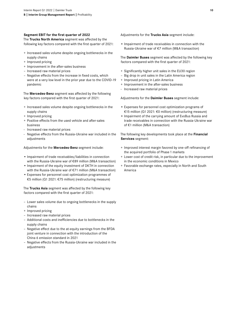#### **Segment EBIT for the first quarter of 2022**

The **Trucks North America** segment was affected by the following key factors compared with the first quarter of 2021:

- + Increased sales volume despite ongoing bottlenecks in the supply chains
- + Improved pricing
- + Improvement in the after-sales business
- Increased raw material prices
- Negative effects from the increase in fixed costs, which were at a very low level in the prior year due to the COVID-19 pandemic

The **Mercedes-Benz** segment was affected by the following key factors compared with the first quarter of 2021:

- + Increased sales volume despite ongoing bottlenecks in the supply chains
- + Improved pricing
- + Positive effects from the used vehicle and after-sales business
- Increased raw material prices
- Negative effects from the Russia-Ukraine war included in the adjustments

Adjustments for the **Mercedes-Benz** segment include:

- Impairment of trade receivables/liabilities in connection with the Russia-Ukraine war of €89 million (M&A transaction)
- Impairment of the equity investment of DKTH in connection with the Russia-Ukraine war of €71 million (M&A transaction)
- Expenses for personnel cost optimization programmes of €5 million (Q1 2021: €75 million) (restructuring measure)

The **Trucks Asia** segment was affected by the following key factors compared with the first quarter of 2021:

- Lower sales volume due to ongoing bottlenecks in the supply chains
- + Improved pricing
- Increased raw material prices
- Additional costs and inefficiencies due to bottlenecks in the supply chains
- Negative effect due to the at-equity earnings from the BFDA joint venture in connection with the introduction of the China 6 emission standard in 2021
- Negative effects from the Russia-Ukraine war included in the adjustments

Adjustments for the **Trucks Asia** segment include:

• Impairment of trade receivables in connection with the Russia-Ukraine war of €7 million (M&A transaction)

The **Daimler Buses** segment was affected by the following key factors compared with the first quarter of 2021:

- + Significantly higher unit sales in the EU30 region
- Big drop in unit sales in the Latin America region
- + Improved pricing in Latin America
- + Improvement in the after-sales business
- Increased raw material prices

Adjustments for the **Daimler Buses** segment include:

- Expenses for personnel cost optimization programs of €15 million (Q1 2021: €0 million) (restructuring measure)
- Impairment of the carrying amount of EvoBus Russia and trade receivables in connection with the Russia-Ukraine war of €1 million (M&A transaction)

The following key developments took place at the **Financial Services** segment:

- + Improved interest margin favored by one-off refinancing of the acquired portfolio of Phase 1 markets
- + Lower cost of credit risk, in particular due to the improvement in the economic conditions in Mexico
- + Favorable exchange rates, especially in North and South America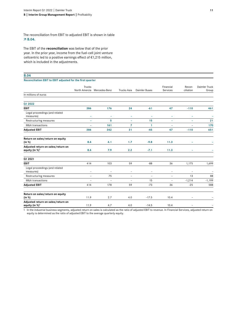The reconciliation from EBIT to adjusted EBIT is shown in table  **B.04.**

The EBIT of the **reconciliation** was below that of the prior year. In the prior year, income from the fuel-cell joint venture cellcentric led to a positive earnings effect of €1,215 million, which is included in the adjustments.

#### **B.04**

**Reconciliation EBIT to EBIT adjusted for the first quarter**

|                                                                  | Trucks                   |                   |                          |                          | Financial                | Recon-         | Daimler Truck |
|------------------------------------------------------------------|--------------------------|-------------------|--------------------------|--------------------------|--------------------------|----------------|---------------|
|                                                                  | North Amercia            | Mercedes-Benz     | Trucks Asia              | Daimler Buses            | Services                 | ciliation      | Group         |
| In millions of euros                                             |                          |                   |                          |                          |                          |                |               |
| Q1 2022                                                          |                          |                   |                          |                          |                          |                |               |
| <b>EBIT</b>                                                      | 386                      | 176               | 24                       | $-61$                    | 47                       | $-110$         | 461           |
| Legal proceedings (and related<br>measures)                      | ۰                        | ۰                 | ÷                        | ۰                        | ۰                        | ۰              |               |
| Restructuring measures                                           | ۰                        | 5                 | ۰                        | 15                       | ۰                        | ۰              | 21            |
| M&A transactions                                                 | ä,                       | 161               | 7                        | 1                        | ۰                        | ÷              | 170           |
| <b>Adjusted EBIT</b>                                             | 386                      | 342               | 31                       | $-45$                    | 47                       | $-110$         | 651           |
| Return on sales/return on equity<br>(in %)                       | 8.4                      | 4.1               | 1.7                      | $-9.8$                   | 11.3                     | ۰              |               |
| Adjusted return on sales/return on<br>equity (in %) <sup>1</sup> | 8.4                      | 7.9               | 2.2                      | $-7.1$                   | 11.3                     | ۰              |               |
| Q1 2021                                                          |                          |                   |                          |                          |                          |                |               |
| <b>EBIT</b>                                                      | 414                      | 103               | 59                       | $-88$                    | 36                       | 1,175          | 1,699         |
| Legal proceedings (and related<br>measures)                      | $\overline{\phantom{m}}$ | $\qquad \qquad -$ | $\qquad \qquad -$        | $\overline{\phantom{a}}$ | $\overline{\phantom{a}}$ | -              |               |
| Restructuring measures                                           | $\qquad \qquad -$        | 75                | $\overline{\phantom{a}}$ | $\overline{\phantom{a}}$ | $\overline{\phantom{a}}$ | 13             | 88            |
| M&A transactions                                                 | ۰                        | $\overline{a}$    | $\overline{\phantom{a}}$ | 15                       | ۰                        | $-1,214$       | $-1,199$      |
| <b>Adjusted EBIT</b>                                             | 414                      | 178               | 59                       | $-73$                    | 36                       | $-25$          | 588           |
| Return on sales/return on equity<br>(in %)                       | 11.9                     | 2.7               | 4.0                      | $-17.5$                  | 10.4                     | $\overline{a}$ |               |
| Adjusted return on sales/return on<br>equity (in %) <sup>1</sup> | 11.9                     | 4.7               | 4.0                      | $-14.5$                  | 10.4                     |                |               |

1 In the industrial business segments, adjusted return on sales is calculated as the ratio of adjusted EBIT to revenue. In Financial Services, adjusted return on equity is determined as the ratio of adjusted EBIT to the average quarterly equity.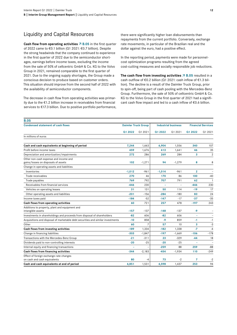## Liquidity and Capital Resources

**Cash flow from operating activities**  $\overline{A}$  **B.05 in the first quarter** of 2022 came to €0.1 billion (Q1 2021: €0.7 billion). Despite the strong headwinds that the company continued to experience in the first quarter of 2022 due to the semiconductor shortages, earnings before income taxes, excluding the income from the sale of 50% of cellcentric GmbH & Co. KG to the Volvo Group in 2021, remained comparable to the first quarter of 2021. Due to the ongoing supply shortages, the Group made a conscious decision to produce based on customer orders. This situation should improve from the second half of 2022 with the availability of semiconductor components.

The decrease in cash flow from operating activities was primarily due to the €1.2 billion increase in receivables from financial services to €17.3 billion. Due to positive portfolio performance,

there were significantly higher loan disbursements than repayments from the current portfolio. Conversely, exchange rate movements, in particular of the Brazilian real and the dollar against the euro, had a positive effect.

In the reporting period, payments were made for personnelcost optimization programs resulting from the agreed cost-cutting measures and socially responsible job reductions.

**The cash flow from investing activities B.05** resulted in a cash outflow of €0.2 billion (Q1 2021: cash inflow of €1.3 billion). The decline is a result of the Daimler Truck Group, prior to spin-off, being part of cash pooling with the Mercedes-Benz Group. Furthermore, the sale of 50% of cellcentric GmbH & Co. KG to the Volvo Group in the first quarter of 2021 had a significant cash flow impact and led to a cash inflow of €0.6 billion.

| <b>B.05</b>                                                                     |                            |          |                            |          |              |                           |
|---------------------------------------------------------------------------------|----------------------------|----------|----------------------------|----------|--------------|---------------------------|
| <b>Condensed statement of cash flows</b>                                        | <b>Daimler Truck Group</b> |          | <b>Industrial business</b> |          |              | <b>Financial Services</b> |
|                                                                                 | Q1 2022                    | Q1 2021  | Q1 2022                    | Q1 2021  | Q1 2022      | Q1 2021                   |
| In millions of euros                                                            |                            |          |                            |          |              |                           |
| Cash and cash equivalents at beginning of period                                | 7,244                      | 1,663    | 6,904                      | 1,556    | 340          | 107                       |
| Profit before income taxes                                                      | 459                        | 1.676    | 413                        | 1,641    | 46           | 35                        |
| Depreciation and amortization/impairments                                       | 272                        | 286      | 269                        | 284      | 3            | $\overline{2}$            |
| Other non-cash expense and income and<br>gains/losses on disposals of assets    | 102                        | $-1,271$ | 94                         | $-1,279$ | 8            | 8                         |
| Change in operating assets and liabilities                                      |                            |          |                            |          |              |                           |
| Inventories                                                                     | $-1,012$                   | $-961$   | $-1,014$                   | $-961$   | $\mathbf{2}$ |                           |
| Trade receivables                                                               | 270                        | 46       | 170                        | 86       | 100          | $-40$                     |
| Trade payables                                                                  | 769                        | 792      | 707                        | 791      | 62           | $\overline{1}$            |
| Receivables from financial services                                             | $-446$                     | 230      |                            |          | -446         | 230                       |
| Vehicles on operating leases                                                    | 31                         | 131      | 50                         | 114      | $-19$        | 17                        |
| Other operating assets and liabilities                                          | $-201$                     | $-156$   | $-284$                     | $-180$   | 83           | 24                        |
| Income taxes paid                                                               | $-184$                     | $-52$    | $-147$                     | $-17$    | $-37$        | $-35$                     |
| Cash flows from operating activities                                            | 60                         | 721      | 257                        | 478      | $-197$       | 243                       |
| Additions to property, plant and equipment and<br>intangible assets             | -157                       | $-137$   | $-148$                     | $-137$   | -9           |                           |
| Investments in shareholdings and proceeds from disposal of shareholders         | $-82$                      | 606      | $-82$                      | 606      |              |                           |
| Acquisitions and disposal of marketable debt securities and similar investments | $-10$                      | 858      | $-9$                       | 859      | -1           | $-1$                      |
| Other                                                                           | 60                         | 7        | 57                         | 10       | 3            | $-3$                      |
| Cash flows from investing activities                                            | $-189$                     | 1,334    | $-182$                     | 1,338    | $-7$         | $-4$                      |
| Change in financing liabilities                                                 | $-303$                     | $-1,847$ | $-197$                     | $-1,669$ | $-106$       | $-178$                    |
| Transactions with the Mercedes-Benz Group                                       | $-21$                      | $-311$   | 23                         | $-329$   | $-44$        | 18                        |
| Dividends paid to non-controlling interests                                     | $-20$                      | $-25$    | $-20$                      | $-25$    |              |                           |
| Internal equity and financing transactions                                      |                            |          | $-259$                     | 88       | 259          | $-88$                     |
| Cash flows from financing activities                                            | $-344$                     | $-2,183$ | $-454$                     | $-1,934$ | 110          | $-249$                    |
| Effect of foreign exchange-rate changes<br>on cash and cash equivalents         | 80                         | -4       | 73                         | $-2$     | 7            | $-2$                      |
| Cash and cash equivalents at end of period                                      | 6.851                      | 1,531    | 6.598                      | 1.437    | 253          | 94                        |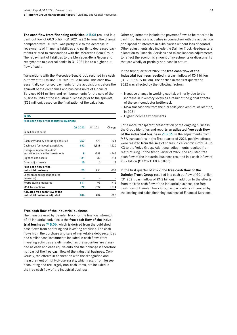The cash flow from financing activities  $\overline{A}$  B.05 resulted in a cash outflow of €0.3 billion (Q1 2021: €2.2 billion). The change compared with Q1 2021 was partly due to the decrease in repayments of financing liabilities and partly to decreased payments related to transactions with the Mercedes-Benz Group. The repayment of liabilities to the Mercedes-Benz Group and repayments to external banks in Q1 2021 led to a higher outflow of cash.

Transactions with the Mercedes-Benz Group resulted in a cash outflow of €21 million (Q1 2021: €0.3 billion). This cash flow essentially comprised payments for the acquisitions before the spin-off of the companies and business units of Financial Services (€44 million) and reimbursements for the sale of the business units of the industrial business prior to the spin-off (€23 million), based on the finalization of the valuation.

### **B.06**

| Free cash flow of the industrial business |  |
|-------------------------------------------|--|
|-------------------------------------------|--|

|                                                                 | Q1 2022 | Q1 2021 | Change   |
|-----------------------------------------------------------------|---------|---------|----------|
| In millions of euros                                            |         |         |          |
|                                                                 |         |         |          |
| Cash provided by operating activities                           | 257     | 478     | $-221$   |
| Cash used for investing activities                              | $-182$  | 1,338   | $-1,520$ |
| Change in marketable debt<br>securities and similar investments | 9       | $-859$  | $+868$   |
| Right-of-use assets                                             | -21     | $-32$   | $+11$    |
| Other adjustments                                               | 10      | 6       | $+4$     |
| Free cash flow of the<br>industrial business                    | 73      | 931     | $-858$   |
| Legal proceedings (and related<br>measures)                     |         |         |          |
| Restructuring measures                                          | 111     | 95      | $+16$    |
| <b>M&amp;A</b> transactions                                     | 22      | $-592$  | $+614$   |
| Adjusted free cash flow of the                                  |         |         |          |
| industrial business adjusted                                    | 206     | 434     | $-228$   |

#### **Free cash flow of the industrial business**

The measure used by Daimler Truck for the financial strength of its industrial activities is the **free cash flow of the industrial business**  $\overline{7}$  B.06, which is derived from the published cash flows from operating and investing activities. The cash flows from the purchase and sale of marketable debt securities and similar cash investments included in cash flows from investing activities are eliminated, as the securities are classified as cash and cash equivalents and their change is therefore not part of the free cash flow of the industrial business. Conversely, the effects in connection with the recognition and measurement of right-of-use assets, which result from lessee accounting and are largely non-cash items, are included in the free cash flow of the industrial business.

Other adjustments include the payment flows to be reported in cash from financing activities in connection with the acquisition or disposal of interests in subsidiaries without loss of control. Other adjustments also include the Daimler Truck Headquarters allocation to Financial Services and miscellaneous adjustments to reflect the economic amount of investments or divestments that are wholly or partially non-cash in nature.

In the first quarter of 2022, the **free cash flow of the industrial business** resulted in a cash inflow of €0.1 billion (Q1 2021: €0.9 billion). The decline in the first quarter of 2022 was affected by the following factors:

- Negative change in working capital, primarily due to the increase in inventory levels as a result of the global effects of the semiconductor bottleneck
- M&A transactions from the fuel cells joint venture, cellcentric, in 2021
- Higher income tax payments

For a more transparent presentation of the ongoing business, the Group identifies and reports an **adjusted free cash flow of the industrial business**  $\overline{A}$  **B.06**. In the adjustments from M&A transactions in the first quarter of 2021, positive effects were realized from the sale of shares in cellcentric GmbH & Co. KG to the Volvo Group. Additional adjustments resulted from restructuring. In the first quarter of 2022, the adjusted free cash flow of the industrial business resulted in a cash inflow of €0.2 billion **(**Q1 2021: €0.4 billion).

In the first quarter of 2022, the **free cash flow of the Daimler Truck Group** resulted in a cash outflow of €0.1 billion (Q1 2021: cash inflow of  $\epsilon$ 1.2 billion). In addition to the effects from the free cash flow of the industrial business, the free cash flow of Daimler Truck Group is particularly influenced by the leasing and sales financing business of Financial Services.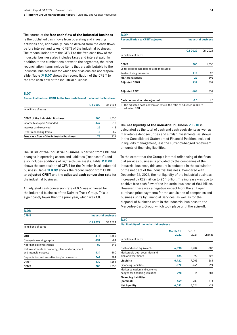The source of the **free cash flow of the industrial business**  is the published cash flows from operating and investing activities and, additionally, can be derived from the cash flows before interest and taxes (CFBIT) of the industrial business. The reconciliation from the CFBIT to the free cash flow of the industrial business also includes taxes and interest paid. In addition to the eliminations between the segments, the other reconciliation items include items that are attributable to the industrial business but for which the divisions are not responsible. Table  $\overline{A}$  B.07 shows the reconciliation of the CFBIT to the free cash flow of the industrial business.

#### **B.07**

**Reconciliation from CFBIT to the free cash flow of the industrial business**

**Q1 2022** Q1 2021

| In millions of euros                      |      |       |
|-------------------------------------------|------|-------|
| <b>CFBIT of the Industrial Business</b>   | 200  | 1.055 |
| Income taxes paid/refunded                | -147 | $-17$ |
| Interest paid/received                    | 25   | $-18$ |
| Other reconciling Items                   | -5   | $-89$ |
| Free cash flow of the industrial business | 73   | 931   |

The **CFBIT of the industrial business** is derived from EBIT and changes in operating assets and liabilities ("net assets") and also includes additions of rights-of-use assets. Table  $\overline{A}$  B.08 shows the composition of CFBIT for the Daimler Truck industrial business. Table  $\overline{A}$  B.09 shows the reconciliation from CFBIT to **adjusted CFBIT** and the **adjusted cash conversion rate** for the industrial business.

An adjusted cash conversion rate of 0.6 was achieved for the industrial business of the Daimler Truck Group. This is significantly lower than the prior year, which was 1.0.

| <b>B.08</b>                                                               |         |                            |
|---------------------------------------------------------------------------|---------|----------------------------|
| <b>CFBIT</b>                                                              |         | <b>Industrial business</b> |
|                                                                           | Q1 2022 | Q1 2021                    |
| In millions of euros                                                      |         |                            |
| EBIT                                                                      | 414     | 1,663                      |
| Change in working capital                                                 | $-137$  | $-84$                      |
| Net financial investments                                                 | $-82$   | 643                        |
| Net investments in property, plant and equipment<br>and intangible assets | $-134$  | $-190$                     |
| Depreciation and amortisation/impairments                                 | 269     | 284                        |
| Other                                                                     | $-130$  | $-1,261$                   |
| <b>CFBIT</b>                                                              | 200     | 1.055                      |

| <b>B.09</b>                             |                            |
|-----------------------------------------|----------------------------|
| <b>Reconciliation to CFBIT adjusted</b> | <b>Industrial business</b> |

| Cash conversion rate adjusted <sup>1</sup> | 0.6     | 1.0     |
|--------------------------------------------|---------|---------|
| <b>Adjusted EBIT</b>                       | 604     | 552     |
| <b>Adjusted CFBIT</b>                      | 332     | 559     |
| M&A transactions                           | 22      | $-592$  |
| Restructuring measures                     | 111     | 95      |
| Legal proceedings (and related measures)   |         |         |
| <b>CFBIT</b>                               | 200     | 1,055   |
| In millions of euros                       |         |         |
|                                            | Q1 2022 | Q1 2021 |
|                                            |         |         |

1 The adjusted cash conversion rate is the ratio of adjusted CFBIT to adjusted EBIT.

#### The **net liquidity of the industrial business**  $\overline{A}$  B.10 is

calculated as the total of cash and cash equivalents as well as marketable debt securities and similar investments, as shown in the Consolidated Statement of Financial Position, included in liquidity management, less the currency-hedged repayment amounts of financing liabilities.

To the extent that the Group's internal refinancing of the financial services business is provided by the companies of the industrial business, this amount is deducted in the calculation of the net debt of the industrial business. Compared with December 31, 2021, the net liquidity of the industrial business increased by €29 million to €6.1 billion. The increase was due to positive free cash flow of the industrial business of €0.1 billion. However, there was a negative impact from the still open purchase price payments for the acquisition of companies and business units by Financial Services, as well as for the disposal of business units in the industrial business to the Mercedes-Benz Group, which took place until the spin-off.

#### **B.10**

#### **Net liquidity of the industrial business**

|                                                                   | March 31,<br>2022 | Dec. 31,<br>2021 | Change |
|-------------------------------------------------------------------|-------------------|------------------|--------|
| In millions of euros                                              |                   |                  |        |
| Cash and cash equivalents                                         | 6,598             | 6,904            | $-306$ |
| Marketable debt securities and<br>similar investments             | 124               | 99               | $+25$  |
| Liquidity                                                         | 6,722             | 7,003            | $-281$ |
| <b>Financing liabilities</b>                                      | $-372$            | $-966$           | $+594$ |
| Market valuation and currency<br>hedges for financing liabilities | $-298$            | $-14$            | $-284$ |
| <b>Financing liabilities</b><br>(nominal)                         | $-669$            | $-980$           | $+311$ |
| Net liquidity                                                     | 6,053             | 6,024            | $+29$  |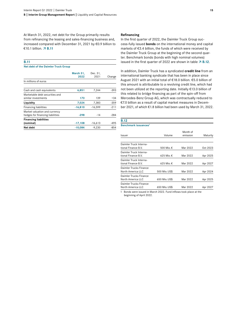At March 31, 2022, net debt for the Group primarily results from refinancing the leasing and sales-financing business and, increased compared with December 31, 2021 by €0.9 billion to €10.1 billion.  **B.11**

#### **B.11**

#### **Net debt of the Daimler Truck Group**

|                                                                   | March 31, | Dec. 31,  |        |
|-------------------------------------------------------------------|-----------|-----------|--------|
|                                                                   | 2022      | 2021      | Change |
| In millions of euros                                              |           |           |        |
| Cash and cash equivalents                                         | 6,851     | 7,244     | $-393$ |
| Marketable debt securities and<br>similar investments             | 173       | 139       | $+34$  |
| Liquidity                                                         | 7,024     | 7,383     | $-359$ |
| <b>Financing liabilities</b>                                      | $-16,810$ | $-16,599$ | $-211$ |
| Market valuation and currency<br>hedges for financing liabilities | $-298$    | $-14$     | $-284$ |
| <b>Financing liabilities</b><br>(nominal)                         | $-17,108$ | $-16,613$ | $-495$ |
| Net debt                                                          | $-10,084$ | $-9,230$  | $-854$ |

#### **Refinancing**

In the first quarter of 2022, the Daimler Truck Group success-fully issued **bonds** on the international money and capital markets of €3.4 billion, the funds of which were received by the Daimler Truck Group at the beginning of the second quarter. Benchmark bonds (bonds with high nominal volumes) issued in the first quarter of 2022 are shown in table  $\overline{7}$  B.12.

In addition, Daimler Truck has a syndicated **credit line** from an international banking syndicate that has been in place since August 2021 with an initial total of €18.0 billion. €5.0 billion of this amount is attributable to a revolving credit line, which had not been utilized at the reporting date. Initially €13.0 billion of this related to bridge financing as part of the spin-off from Mercedes-Benz Group AG, which was contractually reduced to €7.0 billion as a result of capital market measures in December 2021, of which €1.8 billion had been used by March 31, 2022.

## **B.12**

| Benchmark issuances <sup>1</sup> |  |
|----------------------------------|--|
|----------------------------------|--|

| Issuer                                        | Volume        | Month of<br>emission | Maturity |
|-----------------------------------------------|---------------|----------------------|----------|
|                                               |               |                      |          |
| Daimler Truck Interna-<br>tional Finance B.V. | 500 Mio. €    | Mar 2022             | Oct 2023 |
| Daimler Truck Interna-<br>tional Finance B.V. | 625 Mio. €    | Mar 2022             | Apr 2025 |
| Daimler Truck Interna-<br>tional Finance B.V. | 625 Mio. €    | Mar 2022             | Apr 2027 |
| Daimler Trucks Finance<br>North America LLC   | 500 Mio. US\$ | Mar 2022             | Apr 2024 |
| Daimler Trucks Finance<br>North America LLC   | 650 Mio. US\$ | Mar 2022             | Apr 2025 |
| Daimler Trucks Finance<br>North America LLC   | 650 Mio. US\$ | Mar 2022             | Apr 2027 |

1 Bonds were issued in March 2022. Fund inflows took place at the beginning of April 2022.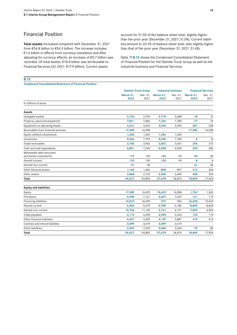## Financial Position

**B.13**

**Total assets** increased compared with December 31, 2021 from €54.8 billion to €56.5 billion. The increase includes €1.0 billion in effects from currency translation and after adjusting for currency effects, an increase of €0.7 billion was recorded. Of total assets, €18.8 billion was attributable to Financial Services (Q1 2021: €17.9 billion). Current assets

account for 51.5% of the balance sheet total, slightly higher than the prior year (December 31, 2021: 51.0%). Current liabilities amount to 33.2% of balance sheet total, also slightly higher than that of the prior year (December 31, 2021: 31.6%).

Table  $\overline{A}$  B.13 shows the Condensed Consolidated Statement of Financial Position for the Daimler Truck Group as well as the industrial business and Financial Services.

| <b>Condensed Consolidated Statement of Financial Position</b> |                   |                                                          |                   |                          |                           |                  |
|---------------------------------------------------------------|-------------------|----------------------------------------------------------|-------------------|--------------------------|---------------------------|------------------|
|                                                               |                   | <b>Daimler Truck Group</b><br><b>Industrial business</b> |                   |                          | <b>Financial Services</b> |                  |
|                                                               | March 31,<br>2022 | Dec. 31,<br>2021                                         | March 31,<br>2022 | Dec. 31,<br>2021         | March 31,<br>2022         | Dec. 31,<br>2021 |
| In millions of euros                                          |                   |                                                          |                   |                          |                           |                  |
| Assets                                                        |                   |                                                          |                   |                          |                           |                  |
| Intangible assets                                             | 2,736             | 2,700                                                    | 2,718             | 2,688                    | 18                        | 12               |
| Property, plant and equipment                                 | 7,821             | 7,860                                                    | 7,744             | 7,784                    | 77                        | 76               |
| Equipment on operating leases                                 | 3,521             | 3,542                                                    | 3,240             | 3,294                    | 281                       | 248              |
| Receivables from financial services                           | 17,289            | 16,098                                                   |                   | $\overline{\phantom{0}}$ | 17,289                    | 16,098           |
| Equity-method investments                                     | 1,306             | 1,369                                                    | 1,306             | 1,369                    |                           |                  |
| Inventories                                                   | 9,046             | 7,793                                                    | 9,038             | 7,783                    | 8                         | 10               |
| Trade receivables                                             | 3,756             | 3,962                                                    | 3,502             | 3,647                    | 254                       | 315              |
| Cash and cash equivalents                                     | 6,851             | 7,244                                                    | 6,598             | 6,904                    | 253                       | 340              |
| Marketable debt securities<br>and similar investments         | 173               | 139                                                      | 124               | 99                       | 49                        | 40               |
| thereof current                                               | 132               | 105                                                      | 124               | 99                       | 8                         | 6                |
| thereof non-current                                           | 41                | 34                                                       |                   |                          | 41                        | 34               |
| Other financial assets                                        | 1,160             | 1,360                                                    | 848               | 897                      | 312                       | 463              |
| Other assets                                                  | 2,868             | 2,733                                                    | 2,560             | 2,409                    | 308                       | 324              |
| Total                                                         | 56,527            | 54,800                                                   | 37,678            | 36,874                   | 18,849                    | 17,926           |
| <b>Equity and liabilities</b>                                 |                   |                                                          |                   |                          |                           |                  |
| Equity                                                        | 17,385            | 16,423                                                   | 15,623            | 14,858                   | 1,762                     | 1,565            |
| Provisions                                                    | 6,598             | 7,161                                                    | 6,467             | 7,047                    | 131                       | 114              |
| <b>Financing liabilities</b>                                  | 16,810            | 16,599                                                   | 372               | 966                      | 16,438                    | 15,633           |
| thereof current                                               | 6,056             | 5,479                                                    | $-2,789$          | $-3,185$                 | 8,845                     | 8,664            |
| thereof non-current                                           | 10,754            | 11,120                                                   | 3,161             | 4,151                    | 7,593                     | 6,969            |
| Trade payables                                                | 5,119             | 4,359                                                    | 4,994             | 4,243                    | 125                       | 116              |
| Other financial liabilities                                   | 4,457             | 4,300                                                    | 4,139             | 3,887                    | 318                       | 413              |
| Contract and refund liabilities                               | 3,599             | 3,419                                                    | 3,599             | 3,419                    |                           |                  |
| Other liabilities                                             | 2,559             | 2,539                                                    | 2,484             | 2,454                    | 75                        | 85               |
| Total                                                         | 56,527            | 54,800                                                   | 37,678            | 36,874                   | 18,849                    | 17,926           |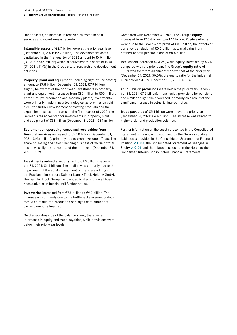Under assets, an increase in receivables from financial services and inventories is recorded.

**Intangible assets** of €2.7 billion were at the prior year level (December 31, 2021: €2.7 billion). The development costs capitalized in the first quarter of 2022 amount to €40 million (Q1 2021:  $E$ 45 million) which is equivalent to a share of 10.4% (Q1 2021: 11.9%) in the Group's total research and development activities.

**Property, plant and equipment** (including right-of-use assets) amount to €7.8 billion (December 31, 2021: €7.9 billion), slightly below that of the prior year. Investments in property, plant and equipment increased from €89 million to €99 million. At the Group's production and assembly plants, investments were primarily made in new technologies (zero-emission vehicles), the further development of existing products and the expansion of sales structures. In the first quarter of 2022, the German sites accounted for investments in property, plant and equipment of €38 million (December 31, 2021: €34 million).

#### **Equipment on operating leases** and **receivables from**

**financial services** increased to €20.8 billion (December 31, 2021: €19.6 billion), primarily due to exchange-rate effects. The share of leasing and sales financing business of 36.8% of total assets was slightly above that of the prior year (December 31, 2021: 35.8%).

**Investments valued at-equity fell** to €1.3 billion (December 31, 2021: €1.4 billion). The decline was primarily due to the impairment of the equity investment of the shareholding in the Russian joint venture Daimler Kamaz Truck Holding GmbH. The Daimler Truck Group has decided to discontinue all business activities in Russia until further notice.

**Inventories** increased from €7.8 billion to €9.0 billion. The increase was primarily due to the bottlenecks in semiconductors. As a result, the production of a significant number of trucks cannot be finalized.

On the liabilities side of the balance sheet, there were in-creases in equity and trade payables, while provisions were below their prior-year levels.

Compared with December 31, 2021, the Group's **equity** increased from €16.4 billion to €17.4 billion. Positive effects were due to the Group's net profit of €0.3 billion, the effects of currency translation of €0.2 billion, actuarial gains from defined-benefit pension plans of €0.4 billion.

Total assets increased by 3.2%, while equity increased by 5.9% compared with the prior year. The Group's **equity ratio** of 30.8% was therefore significantly above that of the prior year (December 31, 2021: 30.0%); the equity ratio for the industrial business was 41.5% (December 31, 2021: 40.3%).

At €6.6 billion **provisions** were below the prior year (December 31, 2021 €7.2 billion). In particular, provisions for pensions and similar obligations decreased, primarily as a result of the significant increase in actuarial interest rates.

**Trade payables** of €5.1 billion were above the prior-year (December 31, 2021: €4.4 billion). The increase was related to higher order and production volumes.

Further information on the assets presented in the Consolidated Statement of Financial Position and on the Group's equity and liabilities is provided in the Consolidated Statement of Financial Position  $\overline{7}$  C.03, the Consolidated Statement of Changes in Equity  $\overline{7}$  C.05 and the related disclosure in the Notes to the Condensed Interim Consolidated Financial Statements.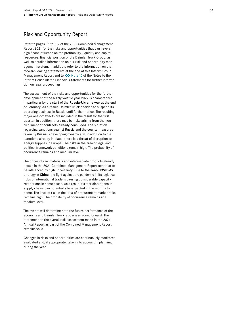## Risk and Opportunity Report

Refer to pages 95 to 109 of the 2021 Combined Management Report 2021 for the risks and opportunities that can have a significant influence on the profitability, liquidity and capital resources, financial position of the Daimler Truck Group, as well as detailed information on our risk and opportunity man agement system. In addition, refer to the information on the forward-looking statements at the end of this Interim Group Management Report and to  $\bullet$  Note 16 of the Notes to the Interim Consolidated Financial Statements for further informa tion on legal proceedings.

The assessment of the risks and opportunities for the further development of the highly volatile year 2022 is characterized in particular by the start of the **Russia-Ukraine war** at the end of February. As a result, Daimler Truck decided to suspend its operating business in Russia until further notice. The resulting major one-off effects are included in the result for the first quarter. In addition, there may be risks arising from the nonfulfillment of contracts already concluded. The situation regarding sanctions against Russia and the countermeasures taken by Russia is developing dynamically. In addition to the sanctions already in place, there is a threat of disruption to energy supplies in Europe. The risks in the area of legal and political framework conditions remain high. The probability of occurrence remains at a medium level.

The prices of raw materials and intermediate products already shown in the 2021 Combined Management Report continue to be influenced by high uncertainty. Due to the **zero-COVID-19** strategy in **China**, the fight against the pandemic in its logistical hubs of international trade is causing considerable capacity restrictions in some cases. As a result, further disruptions in supply chains can potentially be expected in the months to come. The level of risk in the area of procurement market risks remains high. The probability of occurrence remains at a medium level.

The events will determine both the future performance of the economy and Daimler Truck's business going forward. The statement on the overall risk assessment made in the 2021 Annual Report as part of the Combined Management Report remains valid.

Changes in risks and opportunities are continuously monitored, evaluated and, if appropriate, taken into account in planning during the year.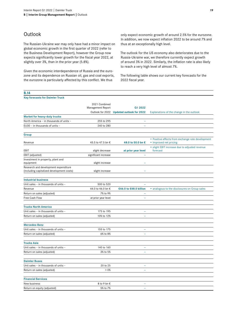## <span id="page-18-0"></span>**Outlook**

The Russian-Ukraine war may only have had a minor impact on global economic growth in the first quarter of 2022 (refer to the Business Development Report), however the Group now expects significantly lower growth for the fiscal year 2022, at slightly over 3%, than in the prior year (5.8%).

Given the economic interdependence of Russia and the eurozone and its dependence on Russian oil, gas and coal exports, the eurozone is particularly affected by this conflict. We thus

only expect economic growth of around 2.5% for the eurozone. In addition, we now expect inflation 2022 to be around 7% and thus at an exceptionally high level.

The outlook for the US economy also deteriorates due to the Russia-Ukraine war, we therefore currently expect growth of around 3% in 2022. Similarly, the inflation rate is also likely to reach a very high level of almost 7%.

The following table shows our current key forecasts for the 2022 fiscal year.

| <b>B.14</b>                               |                                         |                                           |                                                            |
|-------------------------------------------|-----------------------------------------|-------------------------------------------|------------------------------------------------------------|
| <b>Key forecasts for Daimler Truck</b>    |                                         |                                           |                                                            |
|                                           | 2021 Combined<br>Management Report      | Q1 2022                                   |                                                            |
|                                           |                                         | Outlook for 2022 Updated outlook for 2022 | Explanations of the change in the outlook                  |
| <b>Market for heavy-duty trucks</b>       |                                         |                                           |                                                            |
| North America - in thousands of units -   | 255 to 295                              | $\overline{\phantom{a}}$                  |                                                            |
| EU30 - in thousands of units -            | 240 to 280                              | L,                                        |                                                            |
| Group                                     |                                         |                                           |                                                            |
|                                           |                                         |                                           | • Positive effects from exchange rate development          |
| Revenue                                   | 45.5 to 47.5 bn €                       | 48.0 to 50.0 bn €                         | • Improved net pricing                                     |
| EBIT                                      |                                         | at prior year level                       | · slight EBIT increase due to adjusted revenue<br>forecast |
| EBIT (adjusted)                           | slight decrease<br>significant increase | ۳                                         |                                                            |
| Investment in property, plant and         |                                         |                                           |                                                            |
| equipment                                 | slight increase                         |                                           |                                                            |
| Research and development expenditure      |                                         |                                           |                                                            |
| (including capitalized development costs) | slight increase                         |                                           |                                                            |
| <b>Industrial business</b>                |                                         |                                           |                                                            |
| Unit sales - in thousands of units -      | 500 to 520                              | $\overline{\phantom{a}}$                  |                                                            |
| Revenue                                   | 44.0 to 46.0 bn €                       | €46.0 to €48.0 billion                    | • analogous to the disclosures on Group sales              |
| Return on sales (adjusted)                | 7% to 9%                                | ÷                                         |                                                            |
| Free Cash Flow                            | at prior year level                     | $\overline{\phantom{a}}$                  |                                                            |
| <b>Trucks North America</b>               |                                         |                                           |                                                            |
| Unit sales - in thousands of units -      | 175 to 195                              | $\overline{\phantom{a}}$                  |                                                            |
| Return on sales (adjusted)                | 10% to 12%                              | ÷,                                        |                                                            |
| <b>Mercedes-Benz</b>                      |                                         |                                           |                                                            |
| Unit sales - in thousands of units -      | 155 to 175                              | ÷,                                        |                                                            |
| Return on sales (adjusted)                | 6% to 8%                                | $\overline{\phantom{a}}$                  |                                                            |
| <b>Trucks Asia</b>                        |                                         |                                           |                                                            |
| Unit sales - in thousands of units -      | 140 to 160                              | ÷,                                        |                                                            |
| Return on sales (adjusted)                | 3% to 5%                                | ÷,                                        |                                                            |
|                                           |                                         |                                           |                                                            |
| <b>Daimler Buses</b>                      |                                         |                                           |                                                            |
| Unit sales - in thousands of units -      | 20 to 25                                | L.                                        |                                                            |
| Return on sales (adjusted)                | $> 0\%$                                 | $\overline{\phantom{a}}$                  |                                                            |
| <b>Financial Services</b>                 |                                         |                                           |                                                            |
| New business                              | 8 to 9 bn €                             | $\overline{\phantom{a}}$                  |                                                            |
| Return on equity (adjusted)               | 5% to 7%                                | L.                                        |                                                            |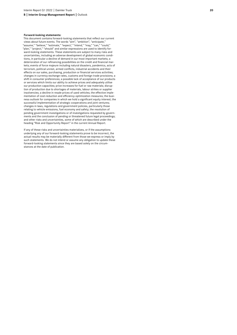#### **Forward-looking statements:**

This document contains forward-looking statements that reflect our current views about future events. The words "aim", "ambition", "anticipate," "assume," "believe," "estimate," "expect," "intend," "may," "can," "could," "plan," "project," "should" and similar expressions are used to identify for ward-looking statements. These statements are subject to many risks and uncertainties, including an adverse development of global economic condi tions, in particular a decline of demand in our most important markets; a deterioration of our refinancing possibilities on the credit and financial mar kets; events of force majeure including natural disasters, pandemics, acts of terrorism, political unrest, armed conflicts, industrial accidents and their effects on our sales, purchasing, production or financial services activities; changes in currency exchange rates, customs and foreign trade provisions; a shift in consumer preferences; a possible lack of acceptance of our products or services which limits our ability to achieve prices and adequately utilise our production capacities; price increases for fuel or raw materials; disrup tion of production due to shortages of materials, labour strikes or supplier insolvencies; a decline in resale prices of used vehicles; the effective imple mentation of cost-reduction and efficiency-optimization measures; the busi ness outlook for companies in which we hold a significant equity interest; the successful implementation of strategic cooperations and joint ventures; changes in laws, regulations and government policies, particularly those relating to vehicle emissions, fuel economy and safety; the resolution of pending government investigations or of investigations requested by govern ments and the conclusion of pending or threatened future legal proceedings; and other risks and uncertainties, some of which are described under the heading "Risk and Opportunity Report" in the current Annual Report.

If any of these risks and uncertainties materializes, or if the assumptions underlying any of our forward-looking statements prove to be incorrect, the actual results may be materially different from those we express or imply by such statements. We do not intend or assume any obligation to update these forward-looking statements since they are based solely on the circum stances at the date of publication.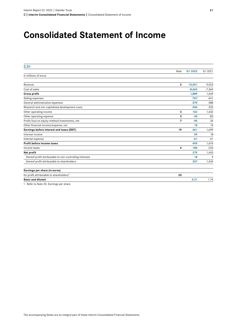## **Consolidated Statement of Income**

| C.01                                                     |                |          |          |
|----------------------------------------------------------|----------------|----------|----------|
|                                                          | Note           | Q1 2022  | Q1 2021  |
| In millions of euros                                     |                |          |          |
|                                                          |                |          |          |
| Revenue                                                  | $\mathbf{2}$   | 10,551   | 9,023    |
| Cost of sales                                            |                | $-8,662$ | $-7,364$ |
| <b>Gross profit</b>                                      |                | 1,889    | 1,659    |
| Selling expenses                                         |                | $-767$   | $-641$   |
| General administrative expenses                          |                | $-370$   | $-388$   |
| Research and non-capitalized development costs           |                | $-346$   | $-333$   |
| Other operating income                                   | 3              | 162      | 1,432    |
| Other operating expense                                  | 3              | $-30$    | $-83$    |
| Profit/loss on equity-method investments, net            | $\overline{ }$ | $-95$    | 34       |
| Other financial income/expense, net                      |                | 18       | 19       |
| Earnings before interest and taxes (EBIT)                | 19             | 461      | 1,699    |
| Interest income                                          |                | 59       | 18       |
| Interest expense                                         |                | $-61$    | $-41$    |
| Profit before income taxes                               |                | 459      | 1,676    |
| Income taxes                                             | 4              | $-184$   | $-233$   |
| Net profit                                               |                | 275      | 1,443    |
| thereof profit attributable to non-controlling interests |                | 18       | 9        |
| thereof profit attributable to shareholders              |                | 257      | 1,434    |
| Earnings per share (in euros)                            |                |          |          |
| for profit attributable to shareholders <sup>1</sup>     | 20             |          |          |
| <b>Basic and diluted</b>                                 |                | 0.31     | 1.74     |

1 Refer to [Note 20.](#page-39-0) Earnings per share.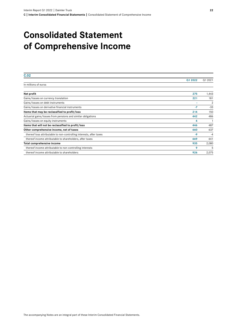## **Consolidated Statement of Comprehensive Income**

| C.02                                                                |         |                |
|---------------------------------------------------------------------|---------|----------------|
|                                                                     | Q1 2022 | Q1 2021        |
| In millions of euros                                                |         |                |
| Net profit                                                          | 275     | 1,443          |
| Gains/losses on currency translation                                | 221     | 181            |
| Gains/losses on debt instruments                                    |         | $\overline{2}$ |
| Gains/losses on derivative financial instruments                    | $-7$    | $-33$          |
| Items that may be reclassified to profit/loss                       | 214     | 150            |
| Actuarial gains/losses from pensions and similar obligations        | 442     | 486            |
| Gains/losses on equity instruments                                  | 4       |                |
| Items that will not be reclassified to profit/loss                  | 446     | 487            |
| Other comprehensive income, net of taxes                            | 660     | 637            |
| thereof loss attributable to non-controlling interests, after taxes | $-9$    | $-4$           |
| thereof income attributable to shareholders, after taxes            | 669     | 641            |
| Total comprehensive income                                          | 935     | 2,080          |
| thereof income attributable to non-controlling interests            | 9       |                |
| thereof income attributable to shareholders                         | 926     | 2,075          |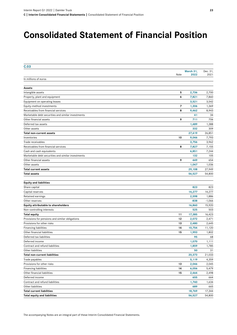## **Consolidated Statement of Financial Position**

| C.03                                               |      |           |          |
|----------------------------------------------------|------|-----------|----------|
|                                                    |      | March 31, | Dec. 31, |
|                                                    | Note | 2022      | 2021     |
| In millions of euros                               |      |           |          |
| <b>Assets</b>                                      |      |           |          |
| Intangible assets                                  | 5    | 2,736     | 2,700    |
| Property, plant and equipment                      | 6    | 7,821     | 7,860    |
| Equipment on operating leases                      |      | 3,521     | 3,542    |
| Equity-method investments                          | 7    | 1,306     | 1,369    |
| Receivables from financial services                | 8    | 9,462     | 8,943    |
| Marketable debt securities and similar investments |      | 41        | 34       |
| Other financial assets                             | 9    | 711       | 706      |
| Deferred tax assets                                |      | 1,489     | 1,388    |
| Other assets                                       |      | 332       | 309      |
| <b>Total non-current assets</b>                    |      | 27,419    | 26,851   |
| Inventories                                        | 10   | 9,046     | 7,793    |
| Trade receivables                                  |      | 3,756     | 3,962    |
| Receivables from financial services                | 8    | 7,827     | 7,155    |
| Cash and cash equivalents                          |      | 6,851     | 7,244    |
| Marketable debt securities and similar investments |      | 132       | 105      |
| Other financial assets                             | 9    | 449       | 654      |
| Other assets                                       |      | 1,047     | 1,036    |
| <b>Total current assets</b>                        |      | 29,108    | 27,949   |
| <b>Total assets</b>                                |      | 56,527    | 54,800   |
| <b>Equity and liabilities</b>                      |      |           |          |
| Share capital                                      |      | 823       | 823      |
| Capital reserves                                   |      | 14,277    | 14,277   |
| Retained earnings                                  |      | 2,598     | 1,886    |
| Other reserves                                     |      | $-838$    | $-1,066$ |
| Equity attributable to shareholders                |      | 16,860    | 15,920   |
| Non-controlling interests                          |      | 525       | 503      |
| <b>Total equity</b>                                | 11   | 17,385    | 16,423   |
| Provisions for pensions and similar obligations    | 12   | 2,072     | 2,471    |
| Provisions for other risks                         | 13   | 2,480     | 2,645    |
| <b>Financing liabilities</b>                       | 14   | 10,754    | 11,120   |
| Other financial liabilities                        | 15   | 1,993     | 1,802    |
| Deferred tax liabilities                           |      | 95        | 68       |
| Deferred income                                    |      | 1,070     | 1,111    |
| Contract and refund liabilities                    |      | 1,859     | 1,785    |
| Other liabilities                                  |      | 50        | 31       |
| <b>Total non-current liabilities</b>               |      | 20,373    | 21,033   |
| Trade payables                                     |      | 5,119     | 4,359    |
| Provisions for other risks                         | 13   | 2,046     | 2,045    |
| <b>Financing liabilities</b>                       | 14   | 6,056     | 5,479    |
| Other financial liabilities                        | 15   | 2,464     | 2,498    |
| Deferred income                                    |      | 655       | 664      |
| Contract and refund liabilities                    |      | 1,740     | 1,634    |
| Other liabilities                                  |      | 689       | 665      |
| <b>Total current liabilities</b>                   |      | 18,769    | 17,344   |
| <b>Total equity and liabilities</b>                |      | 56,527    | 54,800   |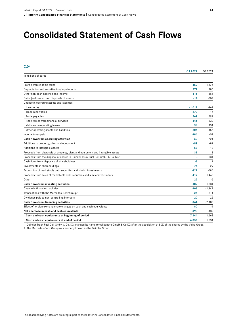## **Consolidated Statement of Cash Flows**

| C.04                                                                                       |          |          |
|--------------------------------------------------------------------------------------------|----------|----------|
|                                                                                            | Q1 2022  | Q1 2021  |
| In millions of euros                                                                       |          |          |
| Profit before income taxes                                                                 | 459      | 1,676    |
| Depreciation and amortization/impairments                                                  | 272      | 286      |
| Other non-cash expense and income                                                          | 116      | $-664$   |
| Gains (-)/losses (+) on disposals of assets                                                | $-14$    | $-607$   |
| Change in operating assets and liabilities                                                 |          |          |
| Inventories                                                                                | $-1,012$ | $-961$   |
| Trade receivables                                                                          | 270      | 46       |
| Trade payables                                                                             | 769      | 792      |
| Receivables from financial services                                                        | $-446$   | 230      |
| Vehicles on operating leases                                                               | 31       | 131      |
| Other operating assets and liabilities                                                     | $-201$   | $-156$   |
| Income taxes paid                                                                          | $-184$   | $-52$    |
| Cash flows from operating activities                                                       | 60       | 721      |
| Additions to property, plant and equipment                                                 | -99      | $-89$    |
| Additions to intangible assets                                                             | $-58$    | $-48$    |
| Proceeds from disposals of property, plant and equipment and intangible assets             | 38       | 13       |
| Proceeds from the disposal of shares in Daimler Truck Fuel Cell GmbH & Co. KG <sup>1</sup> | ä,       | 634      |
| Cash flows from disposals of shareholdings                                                 | -8       | -1       |
| Investments in shareholdings                                                               | $-74$    | $-29$    |
| Acquisition of marketable debt securities and similar investments                          | $-422$   | $-585$   |
| Proceeds from sales of marketable debt securities and similar investments                  | 412      | 1,443    |
| Other                                                                                      | 22       | -6       |
| Cash flows from investing activities                                                       | $-189$   | 1,334    |
| Change in financing liabilities                                                            | $-303$   | $-1,847$ |
| Transactions with the Mercedes-Benz Group <sup>2</sup>                                     | $-21$    | $-311$   |
| Dividends paid to non-controlling interests                                                | $-20$    | $-25$    |
| Cash flows from financing activities                                                       | $-344$   | $-2,183$ |
| Effect of foreign exchange-rate changes on cash and cash equivalents                       | 80       | $-4$     |
| Net decrease in cash and cash equivalents                                                  | $-393$   | $-132$   |
| Cash and cash equivalents at beginning of period                                           | 7,244    | 1,663    |
| Cash and cash equivalents at end of period                                                 | 6,851    | 1,531    |

1 Daimler Truck Fuel Cell GmbH & Co. KG changed its name to cellcentric GmbH & Co.KG after the acquisition of 50% of the shares by the Volvo Group.

2 The Mercedes-Benz Group was formerly known as the Daimler Group.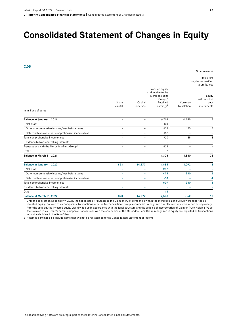## **Consolidated Statement of Changes in Equity**

| C.05                                                   |                          |                          |                                  |                |                      |
|--------------------------------------------------------|--------------------------|--------------------------|----------------------------------|----------------|----------------------|
|                                                        |                          |                          |                                  |                | Other reserves       |
|                                                        |                          |                          |                                  |                | Items that           |
|                                                        |                          |                          |                                  |                | may be reclassified  |
|                                                        |                          |                          |                                  |                | to profit/loss       |
|                                                        |                          |                          | Invested equity                  |                |                      |
|                                                        |                          |                          | attributable to the              |                |                      |
|                                                        |                          |                          | Mercedes-Benz                    |                | Equity               |
|                                                        | Share                    | Capital                  | Group <sup>1</sup> /<br>Retained | Currency       | instruments/<br>debt |
|                                                        | capital                  | reserves                 | earnings <sup>2</sup>            | translation    | instruments          |
| In millions of euros                                   |                          |                          |                                  |                |                      |
| Balance at January 1, 2021                             | $\overline{a}$           | $\overline{\phantom{0}}$ | 9,703                            | $-1,525$       | 19                   |
| Net profit                                             | $\overline{\phantom{0}}$ | $\overline{\phantom{0}}$ | 1,434                            |                |                      |
| Other comprehensive income/loss before taxes           | $\overline{a}$           | $\overline{\phantom{0}}$ | 638                              | 185            | 3                    |
| Deferred taxes on other comprehensive income/loss      | $\overline{\phantom{0}}$ | $\overline{\phantom{0}}$ | $-152$                           | $\overline{a}$ |                      |
| Total comprehensive income/loss                        | $\overline{a}$           | $\overline{\phantom{0}}$ | 1,920                            | 185            | 3                    |
| Dividends to Non-controlling interests                 | $\overline{\phantom{a}}$ | $\overline{\phantom{0}}$ |                                  | ۰              |                      |
| Transactions with the Mercedes-Benz Group <sup>1</sup> | $\overline{\phantom{0}}$ | $\overline{a}$           | $-322$                           | $\overline{a}$ |                      |
| Other                                                  | $\overline{\phantom{a}}$ | $\overline{\phantom{0}}$ | 7                                |                |                      |
| Balance at March 31, 2021                              |                          |                          | 11,308                           | $-1,340$       | 22                   |
| Balance at January 1, 2022                             | 823                      | 14,277                   | 1,886                            | $-1,092$       | 13                   |
| Net profit                                             | ۰                        |                          | 257                              |                | ۰                    |
| Other comprehensive income/loss before taxes           | ÷.                       |                          | 475                              | 230            | 5                    |
| Deferred taxes on other comprehensive income/loss      | $\equiv$                 | L.                       | $-33$                            |                | $-1$                 |
| Total comprehensive income/loss                        | ۰                        | ÷                        | 699                              | 230            | 4                    |
| Dividends to Non-controlling interests                 | ۰                        | ÷                        |                                  | ۳              | ۰                    |
| Other                                                  |                          |                          | 13                               |                |                      |
| Balance at March 31, 2022                              | 823                      | 14,277                   | 2,598                            | $-862$         | 17                   |
|                                                        |                          |                          |                                  |                |                      |

1 Until the spin-off on December 9, 2021, the net assets attributable to the Daimler Truck companies within the Mercedes-Benz Group were reported as invested equity. Daimler Truck companies' transactions with the Mercedes-Benz Group's companies recognized directly in equity were reported separately. After the spin-off, the invested equity was divided up in accordance with the legal structure and the articles of incorporation of Daimler Truck Holding AG as the Daimler Truck Group's parent company; transactions with the companies of the Mercedes-Benz Group recognized in equity are reported as transactions with shareholders in the item Other.

2 Retained earnings also include items that will not be reclassified to the Consolidated Statement of Income.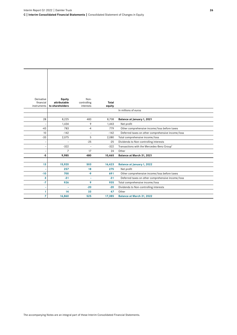| Derivative               | <b>Equity</b>            | Non-                     |        |                                                   |  |
|--------------------------|--------------------------|--------------------------|--------|---------------------------------------------------|--|
| financial<br>instruments | attributable             | controlling              | Total  |                                                   |  |
|                          | to shareholders          | interests                | equity | In millions of euros                              |  |
|                          |                          |                          |        |                                                   |  |
| 28                       | 8,225                    | 483                      | 8,708  | Balance at January 1, 2021                        |  |
| $\overline{a}$           | 1,434                    | 9                        | 1,443  | Net profit                                        |  |
| $-43$                    | 783                      | $-4$                     | 779    | Other comprehensive income/loss before taxes      |  |
| 10                       | $-142$                   | $\overline{\phantom{0}}$ | $-142$ | Deferred taxes on other comprehensive income/loss |  |
| $-33$                    | 2,075                    | 5                        | 2,080  | Total comprehensive income/loss                   |  |
| -                        | $\overline{\phantom{m}}$ | $-25$                    | $-25$  | Dividends to Non-controlling interests            |  |
| -                        | $-322$                   | $\overline{\phantom{0}}$ | $-322$ | Transactions with the Mercedes-Benz Group1        |  |
|                          | $\overline{7}$           | 17                       | 24     | Other                                             |  |
| $-5$                     | 9,985                    | 480                      | 10,465 | Balance at March 31, 2021                         |  |
|                          |                          |                          |        |                                                   |  |
| 13                       | 15,920                   | 503                      | 16,423 | <b>Balance at January 1, 2022</b>                 |  |
|                          | 257                      | 18                       | 275    | Net profit                                        |  |
| $-10$                    | 700                      | $-9$                     | 691    | Other comprehensive income/loss before taxes      |  |
| 3                        | $-31$                    | ۰                        | $-31$  | Deferred taxes on other comprehensive income/loss |  |
| $-7$                     | 926                      | 9                        | 935    | Total comprehensive income/loss                   |  |
| ۳                        | $\overline{\phantom{0}}$ | $-20$                    | $-20$  | Dividends to Non-controlling interests            |  |
| 1                        | 14                       | 33                       | 47     | Other                                             |  |
| $\overline{7}$           | 16,860                   | 525                      | 17,385 | <b>Balance at March 31, 2022</b>                  |  |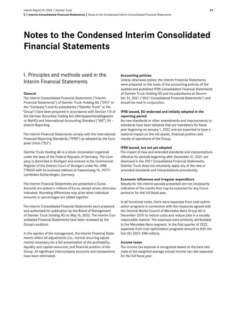## <span id="page-26-0"></span>**Notes to the Condensed Interim Consolidated Financial Statements**

## 1. Principles and methods used in the Interim Financial Statements

### **General**

The Interim Consolidated Financial Statements ("Interim Financial Statements") of Daimler Truck Holding AG ("DTH" or the "Company") and its subsidiaries ("Daimler Truck" or the "Group") have been prepared in accordance with Section115 of the German Securities Trading Act (Wertpapierhandelsgesetz or WpHG) and International Accounting Standard ("IAS") 34 – Interim Reporting.

The Interim Financial Statements comply with the International Financial Reporting Standards ("IFRS") as adopted by the European Union ("EU").

Daimler Truck Holding AG is a stock corporation organized under the laws of the Federal Republic of Germany. The Company is domiciled in Stuttgart and entered in the Commercial Register of the District Court of Stuttgart under No. HRB 778600 with its business address at Fasanenweg 10, 70771 Leinfelden-Echterdingen, Germany.

The Interim Financial Statements are presented in Euros. Amounts are stated in millions of Euros, except where otherwise indicated. Rounding differences may arise when individual amounts or percentages are added together.

The Interim Consolidated Financial Statements were prepared and authorized for publication by the Board of Management of Daimler Truck Holding AG on May16, 2022. The Interim Consolidated Financial Statements have been reviewed by the Group's auditors.

In the opinion of the management, the Interim Financial Statements reflect all adjustments (i.e., normal recurring adjustments) necessary for a fair presentation of the profitability, liquidity and capital resources, and financial position of the Group. All significant intercompany accounts and transactions have been eliminated.

#### **Accounting policies**

Unless otherwise stated, the Interim Financial Statements were prepared on the basis of the accounting policies of the audited and published IFRS Consolidated Financial Statements of Daimler Truck Holding AG and its subsidiaries at December 31, 2021 ("2021 Consolidated Financial Statements") and should be read in conjunction.

#### **IFRS issued, EU endorsed and initially adopted in the reporting period**

No new standards or other amendments and improvements to standards have been adopted that are mandatory for fiscal year beginning on January 1, 2022 and are expected to have a material impact on the net assets, financial position and results of operations of the Group.

#### **IFRS issued, but not yet adopted**

The impact of new and amended standards and interpretations effective for periods beginning after December 31, 2021 are disclosed in the 2021 Consolidated Financial Statements. Daimler Truck does not voluntarily apply any of the new or amended standards and interpretations prematurely.

#### **Economic influences and irregular expenditure**

Results for the interim periods presented are not necessarily indicative of the results that may be expected for any future period or for the full fiscal year.

In all functional costs, there were expenses from cost-optimization programs in connection with the measures agreed with the General Works Council of Mercedes-Benz Group AG in December 2019 to reduce costs and reduce jobs in a socially responsible manner. The expenses were primarily attributable to the Mercedes-Benz segment. In the first quarter of 2022, expenses from cost optimization programs amount to €20 million (Q1 2021: €88 million).

#### **Income taxes**

The income tax expense is recognized based on the best estimate of the weighted average annual income tax rate expected for the full fiscal year.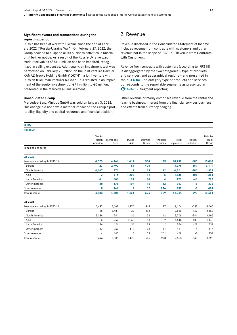#### **Significant events and transactions during the reporting period**

Russia has been at war with Ukraine since the end of February 2022 ("Russia-Ukraine War"). On February 27, 2022, the Group decided to suspend all its business activities in Russia until further notice. As a result of the Russia-Ukraine war, trade receivables of €111 million has been impaired, recognized in selling expenses. Additionally, an impairment test was performed on February 28, 2022, on the joint venture Daimler KAMAZ Trucks Holding GmbH ("DKTH"), a joint venture with Russian truck manufacturer KAMAZ. This resulted in an impairment of the equity investment of €71 million to €0 million, presented in the Mercedes-Benz segment.

#### **Consolidated Group**

Mercedes-Benz Minibus GmbH was sold on January 3, 2022. This change did not have a material impact on the Group's profitability, liquidity and capital resources and financial position.

### 2. Revenue

Revenue disclosed in the Consolidated Statement of Income includes revenue from contracts with customers and other revenue not in the scope of IFRS15 – Revenue from Contracts with Customers.

Revenue from contracts with customers (according to IFRS15) is disaggregated by the two categories – type of products and services, and geographical regions – and presented in table **7 C.06**. The category type of products and services corresponds to the reportable segments as presented in  $\bullet$  [Note 19.](#page-38-0) Segment reporting.

Other revenue primarily comprises revenue from the rental and leasing business, interest from the financial services business and effects from currency hedging.

| C.06                         |                                   |                   |                |                         |                       |                   |                     |                           |
|------------------------------|-----------------------------------|-------------------|----------------|-------------------------|-----------------------|-------------------|---------------------|---------------------------|
| <b>Revenue</b>               |                                   |                   |                |                         |                       |                   |                     |                           |
|                              | <b>Trucks</b><br>North<br>America | Mercedes-<br>Benz | Trucks<br>Asia | Daimler<br><b>Buses</b> | Financial<br>Services | Total<br>segments | Recon-<br>ciliation | Daimler<br>Truck<br>Group |
| In millions of euros         |                                   |                   |                |                         |                       |                   |                     |                           |
| Q1 2022                      |                                   |                   |                |                         |                       |                   |                     |                           |
| Revenue according to IFRS 15 | 4,575                             | 4,161             | 1,419          | 564                     | 33                    | 10,752            | $-685$              | 10,067                    |
| Europe                       | 27                                | 2,790             | 54             | 405                     | ۰                     | 3,276             | $-157$              | 3,119                     |
| North America                | 4,467                             | 276               | 17             | 49                      | 12                    | 4,821             | $-284$              | 4,537                     |
| Asia                         | $\overline{2}$                    | 316               | 1,202          | 11                      | 5                     | 1,536             | $-185$              | 1,351                     |
| Latin America                | 41                                | 604               | 39             | 84                      | 4                     | 772               | $-44$               | 728                       |
| Other markets                | 38                                | 175               | 107            | 15                      | 12                    | 347               | $-15$               | 332                       |
| Other revenue                | 8                                 | 144               | $\overline{2}$ | 62                      | 276                   | 492               | $-8$                | 484                       |
| Total revenue                | 4,583                             | 4,305             | 1,421          | 626                     | 309                   | 11,244            | $-693$              | 10,551                    |
| Q1 2021                      |                                   |                   |                |                         |                       |                   |                     |                           |
| Revenue according to IFRS 15 | 3,492                             | 3,662             | 1,475          | 448                     | 27                    | 9,104             | $-538$              | 8,566                     |
| Europe                       | 25                                | 2,481             | 32             | 292                     | $\qquad \qquad -$     | 2,830             | $-162$              | 2,668                     |
| North America                | 3,388                             | 241               | 36             | 32                      | 12                    | 3,709             | $-244$              | 3,465                     |
| Asia                         | 6                                 | 262               | 1,260          | 18                      | $\overline{2}$        | 1,548             | $-100$              | 1,448                     |
| Latin America                | 26                                | 426               | 34             | 78                      | 2                     | 566               | $-27$               | 539                       |
| Other markets                | 47                                | 252               | 113            | 28                      | 11                    | 451               | $-5$                | 446                       |
| Other revenue                | 4                                 | 143               | 3              | 58                      | 251                   | 459               | $-2$                | 457                       |
| Total revenue                | 3,496                             | 3,805             | 1,478          | 506                     | 278                   | 9,563             | $-540$              | 9,023                     |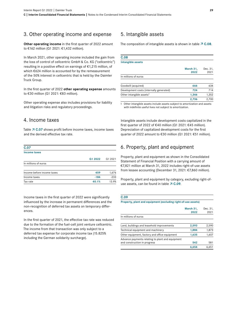## 3. Other operating income and expense

**Other operating income** in the first quarter of 2022 amount to €162 million (Q1 2021: €1,432 million).

In March 2021, other operating income included the gain from the loss of control of cellcentric GmbH & Co. KG ("cellcentric") resulting in a positive effect on earnings of €1,215 million, of which €624 million is accounted for by the remeasurement of the 50% interest in cellcentric that is held by the Daimler Truck Group.

In the first quarter of 2022 **other operating expense** amounts to €30 million (Q1 2021: €83 million).

Other operating expense also includes provisions for liability and litigation risks and regulatory proceedings.

### 4. Income taxes

Table **7 C.07** shows profit before income taxes, income taxes and the derived effective tax rate.

| C.07                       |         |         |
|----------------------------|---------|---------|
| Income taxes               |         |         |
|                            | Q1 2022 | Q1 2021 |
| In millions of euros       |         |         |
| Income before income taxes | 459     | 1,676   |
| Income taxes               | $-184$  | $-233$  |
| Tax rate                   | 40.1%   | 13.9%   |

Income taxes in the first quarter of 2022 were significantly influenced by the increase in permanent differences and the non-recognition of deferred tax assets on temporary differences.

In the first quarter of 2021, the effective tax rate was reduced due to the formation of the fuel-cell joint venture cellcentric. The income from that transaction was only subject to a deferred tax expense for corporate income tax (15.825% including the German solidarity surcharge).

### 5. Intangible assets

The composition of intangible assets is shown in table  $\overline{7}$  C.08.

## **C.08**

### **Intangible assets**

|                                          | March 31,<br>2022 | Dec. 31,<br>2021 |
|------------------------------------------|-------------------|------------------|
| In millions of euros                     |                   |                  |
| Goodwill (acquired)                      | 666               | 634              |
| Development costs (internally generated) | 724               | 714              |
| Other intangible assets <sup>1</sup>     | 1.346             | 1,352            |
|                                          | 2.736             | 2.700            |

1 Other intangible assets include assets subject to amortization and assets with indefinite useful lives not subject to amortization.

Intangible assets include development costs capitalized in the first quarter of 2022 of €40 million (Q1 2021: €45 million). Depreciation of capitalized development costs for the first quarter of 2022 amount to €30 million (Q1 2021: €51 million).

### 6. Property, plant and equipment

Property, plant and equipment as shown in the Consolidated Statement of Financial Position with a carrying amount of €7,821 million at March 31, 2022 includes right-of-use assets from lessee accounting (December 31, 2021: €7,860 million).

Property, plant and equipment by category, excluding right-ofuse assets, can be found in table **7 C.09**.

#### **C.09**

**Property, plant and equipment (excluding right-of-use assets)**

|                                                                                  | March 31,<br>2022 | Dec. 31,<br>2021 |
|----------------------------------------------------------------------------------|-------------------|------------------|
| In millions of euros                                                             |                   |                  |
| Land, buildings and leasehold improvements                                       | 2,593             | 2,590            |
| Technical equipment and machinery                                                | 1,884             | 1,873            |
| Other equipment, factory and office equipment                                    | 1,635             | 1,607            |
| Advance payments relating to plant and equipment<br>and construction in progress | 542               | 581              |
|                                                                                  | 6.654             | 6.651            |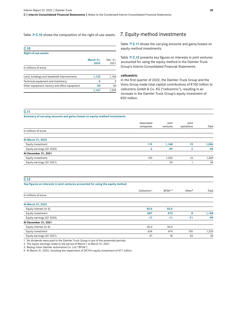#### Table **7 C.10** shows the composition of the right-of-use assets.

| C.10                                          |                   |                  |
|-----------------------------------------------|-------------------|------------------|
| <b>Right-of-use assets</b>                    |                   |                  |
|                                               | March 31,<br>2022 | Dec. 31,<br>2021 |
| In millions of euros                          |                   |                  |
| Land, buildings and leasehold improvements    | 1,123             | 1,166            |
| Technical equipment and machinery             | 4                 | 3                |
| Other equipment, factory and office equipment | 40                | 40               |
|                                               | 1,167             | 1,209            |

### 7. Equity-method investments

Table  $\overline{7}$  C.11 shows the carrying amounts and gains/losses on equity-method investments.

Table  **C.12** presents key figures on interests in joint ventures accounted for using the equity method in the Daimler Truck Group's Interim Consolidated Financial Statements.

#### **cellcentric**

In the first quarter of 2022, the Daimler Truck Group and the Volvo Group made total capital contributions of €100 million to cellcentric GmbH & Co. KG ("cellcentric"), resulting in an increase in the Daimler Truck Group's equity investment of €50 million.

#### **C.11**

#### **Summary of carrying amounts and gains/losses on equity-method investments**

|                           | Associated<br>companies | Joint<br>ventures | Joint<br>operations | Total |
|---------------------------|-------------------------|-------------------|---------------------|-------|
| In millions of euros      |                         |                   |                     |       |
| At March 31, 2022         |                         |                   |                     |       |
| Equity investment         | 119                     | 1,168             | 19                  | 1,306 |
| Equity earnings (Q1 2022) | $\overline{2}$          | $-99$             | 2                   | $-95$ |
| At December 31, 2021      |                         |                   |                     |       |
| Equity investment         | 120                     | 1,233             | 16                  | 1,369 |
| Equity earnings (Q1 2021) | -                       | 33                |                     | 34    |

| C.12                                                                             |                          |                     |                    |       |
|----------------------------------------------------------------------------------|--------------------------|---------------------|--------------------|-------|
| Key figures on interests in joint ventures accounted for using the equity method |                          |                     |                    |       |
|                                                                                  | Cellcentric <sup>1</sup> | BFDA <sup>1,3</sup> | Other <sup>4</sup> | Total |
| In millions of euros                                                             |                          |                     |                    |       |
| At March 31, 2022                                                                |                          |                     |                    |       |
| Equity interest (in %)                                                           | 50.0                     | 50.0                |                    |       |
| Equity investment                                                                | 687                      | 473                 | 8                  | 1,168 |
| Equity earnings (Q1 2022)                                                        | $-17$                    | $-11$               | $-71$              | $-99$ |
| At December 31, 2021                                                             |                          |                     |                    |       |
| Equity interest (in %)                                                           | 50.0                     | 50.0                |                    |       |
| Equity investment                                                                | 654                      | 474                 | 105                | 1,233 |
| Equity earnings (Q1 2021)                                                        | $-5^{2}$                 | 18                  | 20                 | 33    |

1 No dividends were paid to the Daimler Truck Group in any of the presented periods.

2 The equity earnings relate to the period of March1 to March 31, 2021.

3 Beijing Foton Daimler Automotive Co. Ltd ("BFDA").

4 At March 31, 2022, including the impairment of DKTH's equity investment of €71 million.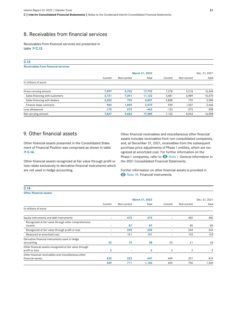## 8. Receivables from financial services

Receivables from financial services are presented in table **7 C.13.** 

#### **C.13**

#### **Receivables from financial services**

|                                | March 31, 2022 |             |        |         | Dec. 31, 2021 |        |  |
|--------------------------------|----------------|-------------|--------|---------|---------------|--------|--|
|                                | Current        | Non-current | Total  | Current | Non-current   | Total  |  |
| In millions of euros           |                |             |        |         |               |        |  |
| Gross carrying amount          | 7,997          | 9,735       | 17.732 | 7,278   | 9,218         | 16,496 |  |
| Sales financing with customers | 3,731          | 7,391       | 11,122 | 3,481   | 6,989         | 10,470 |  |
| Sales financing with dealers   | 3,302          | 735         | 4,037  | 2,858   | 722           | 3,580  |  |
| Finance lease contracts        | 964            | 1,609       | 2,573  | 939     | 1,507         | 2,446  |  |
| Loss allowances                | $-170$         | $-273$      | $-443$ | $-123$  | $-275$        | $-398$ |  |
| Net carrying amount            | 7.827          | 9,462       | 17.289 | 7.155   | 8,943         | 16,098 |  |

## 9. Other financial assets

Other financial assets presented in the Consolidated Statement of Financial Position was comprised as shown in table  **C.14**.

Other financial assets recognized at fair value through profit or loss relate exclusively to derivative financial instruments which are not used in hedge accounting.

Other financial receivables and miscellaneous other financial assets includes receivables from non-consolidated companies, and, at December 31, 2021, receivables from the subsequent purchase price adjustments of Phase 1 entities, which are recognized at amortized cost. For further information on the Phase 1 companies, refer to  $\bullet$  Note 1. General information in the 2021 Consolidated Financial Statements.

Further information on other financial assets is provided in  $\bullet$  Note 18. Financial instruments.

| <b>C.14</b><br><b>Other financial assets</b>                              |                |             |                |                          |                |               |
|---------------------------------------------------------------------------|----------------|-------------|----------------|--------------------------|----------------|---------------|
|                                                                           |                |             |                |                          |                |               |
|                                                                           |                |             | March 31, 2022 |                          |                | Dec. 31, 2021 |
|                                                                           | Current        | Non-current | Total          | Current                  | Non-current    | Total         |
| In millions of euros                                                      |                |             |                |                          |                |               |
| Equity instruments and debt instruments                                   | ۰              | 473         | 473            | $\qquad \qquad -$        | 482            | 482           |
| Recognized at fair value through other comprehensive<br>income            | -              | 87          | 87             | $\qquad \qquad -$        | 85             | 85            |
| Recognized at fair value through profit or loss                           | ۰              | 235         | 235            | $\overline{\phantom{0}}$ | 244            | 244           |
| Measured at amortized cost                                                | ۰              | 151         | 151            | ۰                        | 153            | 153           |
| Derivative financial instruments used in hedge<br>accounting              | 22             | 16          | 38             | 42                       | 21             | 63            |
| Other financial assets recognized at fair value through<br>profit or loss | $\overline{2}$ | -           | $\overline{2}$ | 3                        | $\overline{2}$ | 5             |
| Other financial receivables and miscellaneous other<br>financial assets   | 425            | 222         | 647            | 609                      | 201            | 810           |
|                                                                           | 449            | 711         | 1,160          | 654                      | 706            | 1,360         |

#### **C.14**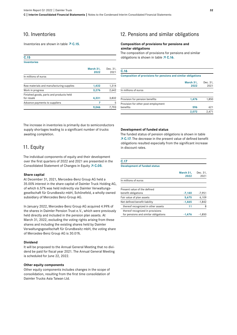## 10. Inventories

Inventories are shown in table  $\overline{7}$  C.15.

#### **C.15 Inventories March 31,**  Dec. 31,

|                                                       | 2022  | 2021  |
|-------------------------------------------------------|-------|-------|
| In millions of euros                                  |       |       |
| Raw materials and manufacturing supplies              | 1,432 | 1,314 |
| Work in progress                                      | 3,276 | 2,642 |
| Finished goods, parts and products held<br>for resale | 4,331 | 3,832 |
| Advance payments to suppliers                         |       | 5     |
|                                                       | 9.046 | 7.793 |

The increase in inventories is primarily due to semiconductors supply shortages leading to a significant number of trucks awaiting completion.

## 11. Equity

The individual components of equity and their development over the first quarters of 2022 and 2021 are presented in the Consolidated Statement of Changes in Equity  $\overline{7}$  C.05.

#### **Share capital**

At December 31, 2021, Mercedes-Benz Group AG held a 35.00% interest in the share capital of Daimler Truck Holding AG, of which 6.57% was held indirectly via Daimler Verwaltungsgesellschaft für Grundbesitz mbH, Schönefeld, a wholly-owned subsidiary of Mercedes Benz-Group AG.

In January 2022, Mercedes-Benz Group AG acquired 4.99% of the shares in Daimler Pension Trust e.V., which were previously held directly and included in the pension plan assets. At March 31, 2022, excluding the voting rights arising from these shares and including the existing shares held by Daimler Verwaltungsgesellschaft für Grundbesitz mbH, the voting share of Mercedes-Benz Group AG is 30.01%.

#### **Dividend**

It will be proposed to the Annual General Meeting that no dividend be paid for fiscal year 2021. The Annual General Meeting is scheduled for June 22, 2022.

#### **Other equity components**

Other equity components includes changes in the scope of consolidation, resulting from the first time consolidation of Daimler Trucks Asia Taiwan Ltd.

## 12. Pensions and similar obligations

#### **Composition of provisions for pensions and similar obligations**

The composition of provisions for pensions and similar obligations is shown in table **7 C.16**.

#### **C.16**

**Composition of provisions for pensions and similar obligations**

|                                     | March 31, | Dec. 31, |
|-------------------------------------|-----------|----------|
|                                     | 2022      | 2021     |
| In millions of euros                |           |          |
| Provision for pension benefits      | 1,476     | 1,850    |
| Provision for other post-employment |           |          |
| benefits                            | 596       | 621      |
|                                     | 2,072     | 2.471    |

#### **Development of funded status**

The funded status of pension obligations is shown in table  **C.17.** The decrease in the present value of defined benefit obligations resulted especially from the significant increase in discount rates.

#### **C.17**

#### **Development of funded status**

|                                      | March 31,<br>2022 | Dec. 31.<br>2021 |
|--------------------------------------|-------------------|------------------|
| In millions of euros                 |                   |                  |
| Present value of the defined         |                   |                  |
| benefit obligations                  | $-7,140$          | -7,951           |
| Fair value of plan assets            | 5,675             | 6,109            |
| Net defined benefit liability        | $-1,465$          | $-1,842$         |
| thereof recognized in other assets   | 11                | 8                |
| thereof recognized in provisions     |                   |                  |
| for pensions and similar obligations | -1.476            | $-1.850$         |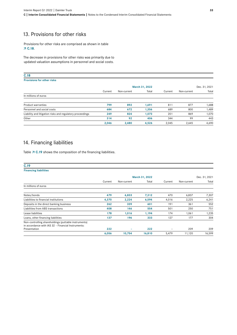## 13. Provisions for other risks

Provisions for other risks are comprised as shown in table  **C.18**.

The decrease in provisions for other risks was primarily due to updated valuation assumptions in personnel and social costs.

| C.18                                                      |         |             |                |         |             |               |
|-----------------------------------------------------------|---------|-------------|----------------|---------|-------------|---------------|
| <b>Provisions for other risks</b>                         |         |             |                |         |             |               |
|                                                           |         |             | March 31, 2022 |         |             | Dec. 31, 2021 |
|                                                           | Current | Non-current | Total          | Current | Non-current | Total         |
| In millions of euros                                      |         |             |                |         |             |               |
| <b>Product warranties</b>                                 | 799     | 892         | 1,691          | 811     | 877         | 1,688         |
| Personnel and social costs                                | 684     | 672         | 1,356          | 689     | 800         | 1,489         |
| Liability and litigation risks and regulatory proceedings | 249     | 824         | 1,073          | 201     | 869         | 1,070         |
| Other                                                     | 314     | 92          | 406            | 344     | 99          | 443           |
|                                                           | 2,046   | 2,480       | 4,526          | 2,045   | 2,645       | 4,690         |

## 14. Financing liabilities

Table  $\overline{7}$  C.19 shows the composition of the financing liabilities.

| C.19                                                                                                       |         |             |                |         |             |               |
|------------------------------------------------------------------------------------------------------------|---------|-------------|----------------|---------|-------------|---------------|
| <b>Financing liabilities</b>                                                                               |         |             |                |         |             |               |
|                                                                                                            |         |             | March 31, 2022 |         |             | Dec. 31, 2021 |
|                                                                                                            | Current | Non-current | Total          | Current | Non-current | Total         |
| In millions of euros                                                                                       |         |             |                |         |             |               |
| Notes/bonds                                                                                                | 479     | 6,833       | 7,312          | 470     | 6,837       | 7,307         |
| Liabilities to financial institutions                                                                      | 4,370   | 2,224       | 6,594          | 4,016   | 2,225       | 6,241         |
| Deposits in the direct banking business                                                                    | 262     | 339         | 601            | 191     | 361         | 552           |
| Liabilities from ABS transactions                                                                          | 408     | 146         | 554            | 501     | 250         | 751           |
| Lease liabilities                                                                                          | 178     | 1,016       | 1,194          | 174     | 1,061       | 1,235         |
| Loans, other financing liabilities                                                                         | 137     | 196         | 333            | 127     | 177         | 304           |
| Non-controlling shareholdings (puttable instruments)<br>in accordance with IAS 32 - Financial Instruments: |         |             |                |         |             |               |
| Presentation                                                                                               | 222     | ۰           | 222            | -       | 209         | 209           |
|                                                                                                            | 6,056   | 10,754      | 16,810         | 5,479   | 11,120      | 16,599        |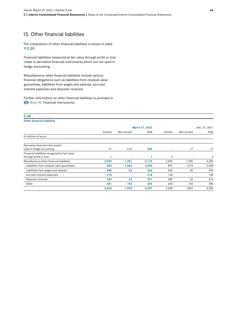## 15. Other financial liabilities

The composition of other financial liabilities is shown in table  **C.20**.

Financial liabilities measured at fair value through profit or loss relate to derivative financial instruments which are not used in hedge accounting.

Miscellaneous other financial liabilities include various financial obligations such as liabilities from residual-value guarantees, liabilities from wages and salaries, accrued interest expenses and deposits received.

Further information on other financial liabilities is provided in  $\odot$  Note 18. Financial instruments.

| C.20                                           |         |             |                |                   |                          |               |
|------------------------------------------------|---------|-------------|----------------|-------------------|--------------------------|---------------|
| <b>Other financial liabilities</b>             |         |             |                |                   |                          |               |
|                                                |         |             | March 31, 2022 |                   |                          | Dec. 31, 2021 |
|                                                | Current | Non-current | Total          | Current           | Non-current              | Total         |
| In millions of euros                           |         |             |                |                   |                          |               |
| Derivative financial instruments               |         |             |                |                   |                          |               |
| used in hedge accounting                       | 71      | 212         | 283            | $\qquad \qquad -$ | 17                       | 17            |
| Financial liabilities recognized at fair value |         |             |                |                   |                          |               |
| through profit or loss                         |         | ۰           |                | 3                 | $\overline{\phantom{a}}$ | 3             |
| Miscellaneous other financial liabilities      | 2,392   | 1,781       | 4,173          | 2,495             | 1,785                    | 4,280         |
| Liabilities from residual value guarantees     | 840     | 1,564       | 2,404          | 874               | 1,574                    | 2,448         |
| Liabilities from wages and salaries            | 584     | 42          | 626            | 554               | 40                       | 594           |
| Accrued interest expenses                      | 218     | ۰           | 218            | 138               | $\overline{\phantom{0}}$ | 138           |
| Deposits received                              | 269     | 22          | 291            | 289               | 26                       | 315           |
| Other                                          | 481     | 153         | 634            | 640               | 145                      | 785           |
|                                                | 2,464   | 1,993       | 4,457          | 2,498             | 1,802                    | 4,300         |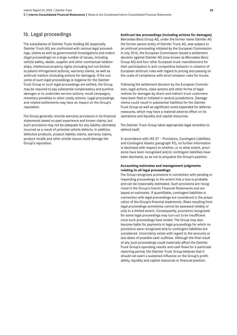## <span id="page-34-0"></span>16. Legal proceedings

The subsidiaries of Daimler Truck Holding AG (especially Daimler Truck AG) are confronted with various legal proceedings, claims as well as governmental investigations and orders (legal proceedings) on a large number of issues, including vehicle safety, dealer, supplier and other contractual relationships, intellectual property rights (including but not limited to patent-infringement actions), warranty claims, as well as antitrust matters (including actions for damages). If the outcome of such legal proceedings is negative for the Daimler Truck Group or such legal proceedings are settled, the Group may be required to pay substantial compensatory and punitive damages or to undertake service actions, recall campaigns, monetary penalties or other costly actions. Legal proceedings and related settlements may have an impact on the Group's reputation.

The Group generally records warranty provisions in its financial statements based on past experience and known claims, but such provisions may not be adequate for any liability ultimately incurred as a result of potential vehicle defects. In addition, defective products, product liability claims, warranty claims, product recalls and other similar issues could damage the Group's reputation.

**Antitrust law proceedings (including actions for damages)** Mercedes-Benz Group AG, under the former name Daimler AG the former parent entity of Daimler Truck AG, was subject to an antitrust proceeding initiated by the European Commission. In July 2016, the European Commission issued a settlement decision against Daimler AG (now known as Mercedes-Benz Group AG) and four other European truck manufacturers for their participation in anti-competitive behavior in violation of European antitrust rules with regard to pricing and passing on the costs of compliance with strict emission rules for trucks.

Following the settlement decision by the European Commission, legal actions, class actions and other forms of legal redress for damages by direct and indirect truck customers have been filed or initiated in several jurisdictions. Damage claims could result in substantial liabilities for the Daimler Truck Group as well as significant costs expended for defense measures, which may have a material adverse effect on its operations and liquidity and capital resources.

The Daimler Truck Group takes appropriate legal remedies to defend itself.

In accordance with IAS 37 – Provisions, Contingent Liabilities and Contingent Assets (paragraph 92), no further information is disclosed with respect to whether, or to what extent, provisions have been recognized and/or contingent liabilities have been disclosed, so as not to prejudice the Group's position.

#### **Accounting estimates and management judgments relating to all legal proceedings**

The Group recognizes provisions in connection with pending or impending proceedings to the extent that a loss is probable and can be reasonably estimated. Such provisions are recognized in the Group's Interim Financial Statements and are based on estimates. If quantifiable, contingent liabilities in connection with legal proceedings are considered in the preparation of the Group's financial statements. Risks resulting from legal proceedings sometimes cannot be assessed reliably or only to a limited extent. Consequently, provisions recognized for some legal proceedings may turn out to be insufficient once such proceedings have ended. The Group may also become liable for payments in legal proceedings for which no provisions were recognized and/or contingent liabilities are considered. Uncertainty exists with regard to the amounts or due dates of possible cash outflows. Although the final result of any such proceedings could materially affect the Daimler Truck Group's operating results and cash flows for a particular reporting period, the Daimler Truck Group believes that it should not exert a sustained influence on the Group's profitability, liquidity and capital resources or financial position.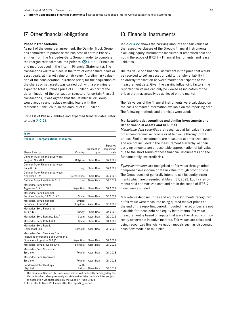### <span id="page-35-0"></span>17. Other financial obligations

#### **Phase 2 transactions**

As part of the demerger agreement, the Daimler Truck Group has committed to purchase the business of certain Phase 2 entities from the Mercedes-Benz Group in order to complete the reorganizational measures (refer to  $\bullet$  Note 1. Principles and methods used in the Interim Financial Statements). The transactions will take place in the form of either share deals or asset deals, at market value or fair value. A preliminary valuation of the consideration (purchase price) for the acquisition of the shares or net assets was carried out, with a preliminary expected total purchase price of €1.3 billion. As part of the determination of the transaction structure for certain Phase 2 transactions, it was agreed that the Daimler Truck Group would acquire and replace existing loans with the Mercedes-Benz Group, in the amount of €1.3 billion.

For a list of Phase 2 entities and expected transfer dates, refer to table  $\overline{7}$  **C.21**.

| P.              |   |  |
|-----------------|---|--|
|                 | v |  |
| ×<br>۰.<br>____ |   |  |

**Phase 2 – Reorganizational measures**

|                                                                                                               |                   |             | Expected            |
|---------------------------------------------------------------------------------------------------------------|-------------------|-------------|---------------------|
|                                                                                                               |                   | Transaction | acquisition         |
| Phase 2 entity                                                                                                | Country           | type        | date                |
| Daimler Truck Financial Services<br>Belgium N.V./S.A. <sup>2</sup>                                            | Belgium           | Share Deal  | Q2 2022             |
| Daimler Truck Financial Services<br>Italia S.p.A. <sup>2</sup>                                                | Italy             | Share Deal  | Q <sub>2</sub> 2022 |
| Daimler Truck Financial Services<br>Nederland B.V. <sup>2</sup>                                               | Netherlands       | Share Deal  | Q2 2022             |
| Daimler Truck Retail Italia S.r.I.                                                                            | Italy             | Share Deal  | Q <sub>2</sub> 2022 |
| Mercedes-Benz Broker<br>Argentina S.A. <sup>2</sup>                                                           | Argentina         | Share Deal  | Q2 2022             |
| Mercedes-Benz Financial<br>Services España, E.F.C., S.A. <sup>1</sup>                                         | Spain             | Share Deal  | Q3 2022             |
| Mercedes-Benz Financial<br><b>Services UK Limited</b>                                                         | United<br>Kingdom | Asset Deal  | Q3 2022             |
| Mercedes-Benz Finansman<br>Türk A.S.1                                                                         | Turkey            | Share Deal  | Q4 2022             |
| Mercedes-Benz Renting, S.A. <sup>2</sup>                                                                      | Spain             | Asset Deal  | Q2 2022             |
| Mercedes-Benz Retail, S.A.                                                                                    | Spain             | Share Deal  | Q4 2022             |
| Mercedes-Benz Retail,<br>Unipessoal Lda.                                                                      | Portugal          | Asset Deal  | Q3 2022             |
| Mercedes-Benz Servicios S.A.U<br>(including Mercedes-Benz Compañía<br>Financiera Argentina S.A.) <sup>2</sup> | Argentina         | Share Deal  | Q <sub>2</sub> 2022 |
| Mercedes-Benz Slovakia s.r.o.                                                                                 | Slovakia          | Asset Deal  | Q1 2023             |
| Mercedes-Benz Sosnowiec<br>Sp. z o.o.                                                                         | Poland            | Asset Deal  | Q1 2023             |
| Mercedes-Benz Warszawa<br>Sp. z o.o.                                                                          | Poland            | Asset Deal  | Q1 2023             |
| Sandown Motor Holdings<br>(Pty) Ltd                                                                           | South<br>Africa   | Share Deal  | Q3 2022             |

1 The Financial Services business operations will be locally demerged by the Mercedes-Benz Group to newly established entities, which will be subject to acquisition via share deals by the Daimler Truck Group.

2 Also refer to [Note 22.](#page-41-0) Events after the reporting period.

### 18. Financial instruments

Table  $\overline{7}$  C.22 shows the carrying amounts and fair values of the respective classes of the Group's financial instruments, excluding equity instruments measured at amortized cost and not in the scope of IFRS 9 – Financial Instruments, and lease liabilities.

The fair value of a financial instrument is the price that would be received to sell an asset or paid to transfer a liability in an orderly transaction between market participants at the measurement date. Given the varying influencing factors, the reported fair values can only be viewed as indicators of the prices that may actually be achieved on the market.

The fair values of the financial instruments were calculated on the basis of market information available on the reporting date. The following methods and premises were used:

#### **Marketable debt securities and similar investments and Other financial assets and liabilities**

*Marketable debt securities* are recognized at fair value through other comprehensive income or at fair value through profit or loss. Similar investments are measured at amortized cost and are not included in the measurement hierarchy, as their carrying amounts are a reasonable approximation of fair value due to the short terms of these financial instruments and the fundamentally low credit risk.

*Equity instruments* are recognized at fair value through other comprehensive income or at fair value through profit or loss. The Group does not generally intend to sell its equity instruments which are presented at March 31, 2022. Equity instruments held at amortized cost and not in the scope of IFRS 9 have been excluded.

Marketable debt securities and equity instruments recognized at fair value were measured using quoted market prices at the end of the reporting period. If quoted market prices are not available for these debt and equity instruments, fair value measurement is based on inputs that are either directly or indirectly observable in active markets. Fair values are calculated using recognized financial valuation models such as discounted cash flow models or multiples.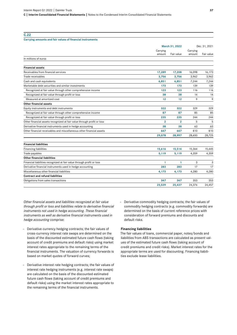**C.22**

| Carrying amounts and fair values of financial instruments              |                    |                |                    |            |  |
|------------------------------------------------------------------------|--------------------|----------------|--------------------|------------|--|
|                                                                        |                    | March 31, 2022 | Dec. 31, 2021      |            |  |
|                                                                        | Carrying<br>amount | Fair value     | Carrying<br>amount | Fair value |  |
| In millions of euros                                                   |                    |                |                    |            |  |
| <b>Financial assets</b>                                                |                    |                |                    |            |  |
| Receivables from financial services                                    | 17,289             | 17,208         | 16,098             | 16,173     |  |
| Trade receivables                                                      | 3,756              | 3,756          | 3,962              | 3,962      |  |
| Cash and cash equivalents                                              | 6,851              | 6,851          | 7,244              | 7,244      |  |
| Marketable debt securities and similar investments                     | 173                | 173            | 139                | 139        |  |
| Recognized at fair value through other comprehensive income            | 123                | 123            | 116                | 116        |  |
| Recognized at fair value through profit or loss                        | 38                 | 38             | 14                 | 14         |  |
| Measured at amortized cost                                             | 12                 | 12             | 9                  | 9          |  |
| <b>Other financial assets</b>                                          |                    |                |                    |            |  |
| Equity instruments and debt instruments                                | 322                | 322            | 329                | 329        |  |
| Recognized at fair value through other comprehensive income            | 87                 | 87             | 85                 | 85         |  |
| Recognized at fair value through profit or loss                        | 235                | 235            | 244                | 244        |  |
| Other financial assets recognized at fair value through profit or loss | $\overline{2}$     | $\overline{2}$ | 5                  | 5          |  |
| Derivative financial instruments used in hedge accounting              | 38                 | 38             | 63                 | 63         |  |
| Other financial receivables and miscellaneous other financial assets   | 647                | 647            | 810                | 810        |  |
|                                                                        | 29,078             | 28,997         | 28,650             | 28,725     |  |
| <b>Financial liabilities</b>                                           |                    |                |                    |            |  |
| <b>Financing liabilities</b>                                           | 15,616             | 15,514         | 15,364             | 15,445     |  |
| Trade payables                                                         | 5,119              | 5,119          | 4,359              | 4,359      |  |
| <b>Other financial liabilities</b>                                     |                    |                |                    |            |  |
| Financial liabilities recognized at fair value through profit or loss  | 1                  | $\overline{1}$ | 3                  | 3          |  |
| Derivative financial instruments used in hedge accounting              | 283                | 283            | 17                 | 17         |  |
| Miscellaneous other financial liabilities                              | 4,173              | 4,173          | 4,280              | 4,280      |  |
| <b>Contract and refund liabilities</b>                                 |                    |                |                    |            |  |
| Obligations from sales transactions                                    | 347                | 347            | 353                | 353        |  |
|                                                                        | 25,539             | 25,437         | 24,376             | 24,457     |  |

*Other financial assets and liabilities recognized at fair value through profit or loss and liabilities relate to derivative financial instruments not used in hedge accounting. These financial instruments as well as derivative financial instruments used in hedge accounting* comprise:

- Derivative currency hedging contracts; the fair values of cross-currency interest rate swaps are determined on the basis of the discounted estimated future cash flows (taking account of credit premiums and default risks) using market interest rates appropriate to the remaining terms of the financial instruments. The valuation of currency forwards is based on market quotes of forward curves;
- Derivative interest rate hedging contracts; the fair values of interest rate hedging instruments (e.g. interest rate swaps) are calculated on the basis of the discounted estimated future cash flows (taking account of credit premiums and default risks) using the market interest rates appropriate to the remaining terms of the financial instruments.

– Derivative commodity hedging contracts; the fair values of commodity hedging contracts (e.g. commodity forwards) are determined on the basis of current reference prices with consideration of forward premiums and discounts and default risks.

#### **Financing liabilities**

The fair values of loans, commercial paper, notes/bonds and liabilities from ABS transactions are calculated as present values of the estimated future cash flows (taking account of credit premiums and credit risks). Market interest rates for the appropriate terms are used for discounting. Financing liabilities exclude lease liabilities.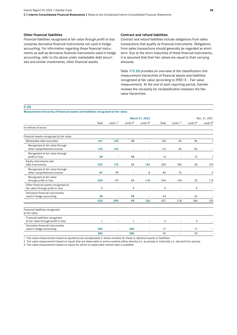#### **Other financial liabilities**

*Financial liabilities recognized at fair value through profit or loss* comprise derivative financial instruments not used in hedge accounting. For information regarding these financial instruments as well as derivative financial instruments used in hedge accounting, refer to the above under marketable debt securities and similar investments, other financial assets.

#### **Contract and refund liabilities**

*Contract and refund liabilities* include obligations from sales transactions that qualify as financial instruments. Obligations from sales transactions should generally be regarded as short term. Due to the short maturities of these financial instruments, it is assumed that their fair values are equal to their carrying amounts.

Table **7 C.23** provides an overview of the classification into measurement hierarchies of financial assets and liabilities recognized at fair value (according to IFRS13 – Fair value measurement). At the end of each reporting period, Daimler reviews the necessity for reclassification between the fairvalue hierarchies.

#### **C.23**

#### **Measurement hierarchy of financial assets and liabilities recognized at fair value**

|                                                                           | March 31, 2022 |            |                      |            |       | Dec. 31, 2021            |                      |            |
|---------------------------------------------------------------------------|----------------|------------|----------------------|------------|-------|--------------------------|----------------------|------------|
|                                                                           | Total          | Level $11$ | Level 2 <sup>2</sup> | Level $33$ | Total | Level $11$               | Level 2 <sup>2</sup> | Level $33$ |
| In millions of euros                                                      |                |            |                      |            |       |                          |                      |            |
| Financial assets recognized at fair value                                 |                |            |                      |            |       |                          |                      |            |
| Marketable debt securities                                                | 161            | 123        | 38                   | ۰          | 130   | 33                       | 96                   |            |
| Recognized at fair value through<br>other comprehensive income            | 123            | 123        |                      | L,         | 116   | 33                       | 83                   |            |
| Recognized at fair value through<br>profit or loss                        | 38             | ۰          | 38                   | -          | 14    | $\overline{\phantom{a}}$ | 13                   |            |
| Equity instruments and<br>debt instruments                                | 322            | 176        | 20                   | 126        | 329   | 185                      | 20                   | 124        |
| Recognized at fair value through<br>other comprehensive income            | 87             | 79         |                      | 8          | 85    | 76                       | ۰                    | 9          |
| Recognized at fair value<br>through profit or loss                        | 235            | 97         | 20                   | 118        | 244   | 109                      | 20                   | 115        |
| Other financial assets recognized at<br>fair value through profit or loss | $\mathbf{2}$   | ۳          | $\overline{2}$       | -          | 5     |                          | 5                    |            |
| Derivative financial instruments<br>used in hedge accounting              | 38             |            | 38                   |            | 63    |                          | 63                   |            |
|                                                                           | 523            | 299        | 98                   | 126        | 527   | 218                      | 184                  | 125        |
| Financial liabilities recognized<br>at fair value                         |                |            |                      |            |       |                          |                      |            |
| Financial liabilities recognized<br>at fair value through profit or loss  | 1              | ۰          | 1                    | ۰          | 3     | $\overline{\phantom{0}}$ | 3                    |            |
| Derivative financial instruments<br>used in hedge accounting              | 283            | ۰          | 283                  | ۰          | 17    | $\overline{\phantom{a}}$ | 17                   |            |
|                                                                           | 284            | ÷          | 284                  | L,         | 20    | $\overline{\phantom{0}}$ | 20                   |            |

1 Fair-value measurement based on quoted prices (unadjusted) in active markets for these or identical assets or liabilities.

2 Fair-value measurement based on inputs that are observable in active markets either directly (i.e. as prices) or indirectly (i.e. derived from prices).

3 Fair-value measurement based on inputs for which no observable market data is available.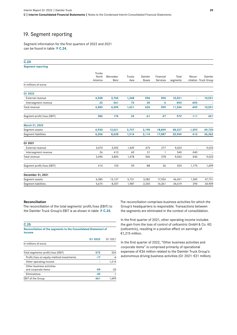## <span id="page-38-0"></span>19. Segment reporting

Segment information for the first quarters of 2022 and 2021 can be found in table  $\overline{7}$  C.24.

#### **C.24 Segment reporting** Trucks North America Mercedes-Benz Trucks Asia Daimler Buses Financial Services Total segments Reconciliation Truck Group Daimler In millions of euros **Q1 2022** External revenue **4,558 3,744 1,348 <sup>596</sup> <sup>305</sup> 10,551 - 10,551** Intersegment revenue **<sup>25</sup> <sup>561</sup> <sup>73</sup> <sup>30</sup> <sup>4</sup> <sup>693</sup> -693 -** Total revenue **4,583 4,305 1,421 626 309 11,244 -693 10,551** Segment profit/loss (EBIT) **386 176 24 -61 47 572 -111 461 March 31, 2022** Segment assets **6,930 13,621 5,737 3,190 18,849 48,327 1,393 49,720** Segment liabilities **6,206 8,628 1,914 2,114 17,087 35,949 413 36,362 Q1 2021** external revenue 2001 2010 3,470 3,392 1,409 475 277 9,023 - 9,023 Intersegment revenue <sup>26</sup> <sup>413</sup> <sup>69</sup> <sup>31</sup> <sup>1</sup> <sup>540</sup> -540 - Total revenue 3,496 3,805 1,478 506 278 9,563 -540 9,023 Segment profit/loss (EBIT) 414 103 59 -88 36 524 1,175 1,699 **December 31, 2021** Segment assets 6,385 13,127 5,731 3,282 17,926 46,451 1,300 47,751 Segment liabilities 5,674 8,357 1,987 2,240 16,361 34,619 290 34,909

#### **Reconciliation**

The reconciliation of the total segments' profit/loss (EBIT) to the Daimler Truck Group's EBIT is as shown in table  $\overline{7}$  C.25.

| C.25                                                                      |         |         |
|---------------------------------------------------------------------------|---------|---------|
| Reconciliation of the segments to the Consolidated Statement of<br>Income |         |         |
|                                                                           | Q1 2022 | Q1 2021 |
| In millions of euros                                                      |         |         |
|                                                                           |         |         |
| Total segments profit/loss (EBIT)                                         | 572     | 524     |
| Profit/loss on equity-method investments                                  | $-17$   | -6      |
| Other operating income                                                    |         | 1,215   |
| Other business activities                                                 |         |         |
| and corporate items                                                       | $-59$   | -33     |
| Eliminations                                                              | $-35$   | -1      |
| <b>EBIT</b> of the Group                                                  | 461     | 1,699   |

The reconciliation comprises business activities for which the Group's headquarters is responsible. Transactions between the segments are eliminated in the context of consolidation.

In the first quarter of 2021, other operating income includes the gain from the loss of control of cellcentric GmbH & Co. KG (cellcentric), resulting in a positive effect on earnings of €1,215 million.

In the first quarter of 2022, "Other business activities and corporate items" is comprised primarily of operational expenses of €36 million related to the Daimler Truck Group's autonomous driving business activities (Q1 2021: €21 million).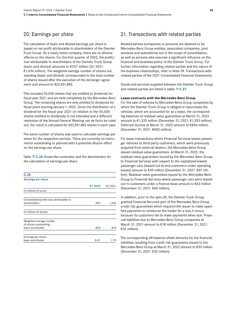### <span id="page-39-0"></span>20. Earnings per share

The calculation of basic and diluted earnings per share is based on net profit attributable to shareholders of the Daimler Truck Group. As a newly listed company, there are no dilutive effects on the shares. For the first quarter of 2022, the profit/ loss attributable to shareholders of the Daimler Truck Group (basic and diluted) amounts to €257 million (Q1 2021: €1,434 million). The weighted-average number of shares outstanding (basic and diluted) corresponded to the total number of shares issued after the execution of the demerger agreement and amount to 822,951,882.

This included 50,000 shares that are entitled to dividends for fiscal year 2021 and are held completely by the Mercedes-Benz Group. The remaining shares are only entitled to dividends for fiscal years starting January 1, 2022. Since the distribution of a dividend for the fiscal year 2021 (in relation to the 50,000 shares entitled to dividends) is not intended and a different resolution of the Annual General Meeting can de facto be ruled out, the result is calculated for 822,951,882 shares in each case.

The same number of shares was used to calculate earnings per share for the respective periods. There are currently no instruments outstanding or planned with a potential dilutive effect on the earnings per share.

Table  $\overline{A}$  C.26 shows the numerator and the denominator for the calculation of earnings per share.

| C.26                                         |         |         |
|----------------------------------------------|---------|---------|
| <b>Earnings per share</b>                    |         |         |
|                                              | Q1 2022 | Q1 2021 |
| In millions of euros                         |         |         |
| Consolidated profit/loss attributable to     |         |         |
| shareholders                                 | 257     | 1,434   |
| In millions of shares                        |         |         |
| Weighted-average number                      |         |         |
| of shares outstanding -<br>basic and diluted | 823     | 823     |
| Earnings per share -                         |         |         |
| basic and diluted                            | 0.31    | 174     |

## 21. Transactions with related parties

Related parties (companies or persons) are deemed to be Mercedes-Benz Group entities, associated companies, joint ventures and subsidiaries not in the scope of consolidation, as well as persons who exercise a significant influence on the financial and business policy of the Daimler Truck Group. For further information regarding related parties and the nature of the business relationships, refer to Note 39. Transactions with related parties of the 2021 Consolidated Financial Statements.

Goods and services supplied between the Daimler Truck Group and related parties are listed in table  $\overline{7}$  C.27.

#### **Lease contracts with the Mercedes-Benz Group**

For the sale of vehicles to Mercedes-Benz Group companies by which the Daimler Truck Group is obliged to repurchase the vehicles, which are accounted for as a lease, the corresponding balances of residual-value guarantees at March 31, 2022 amount to €1,333 million (December 31, 2021: €1,393 million). Deferred income at March 31, 2022 amount to €844 million (December 31, 2021: €902 million).

For lease transactions where Financial Services leases passenger vehicles to third-party customers, which were previously acquired from external dealers, the Mercedes-Benz Group issued residual-value guarantees. At March 31, 2022, the residual-value guarantees issued by the Mercedes-Benz Group to Financial Services with respect to the capitalized leased passenger cars (leased out to end customers under operating leases) amount to €49 million (December 31, 2021: €47 million). Residual-value guarantees issued by the Mercedes-Benz Group to Financial Services where passenger cars were leased out to customers under a finance lease amount to €63 million (December 31, 2021: €60 million).

In addition, prior to the spin-off, the Daimler Truck Group granted Financial Services part of the Mercedes-Benz Group credit risk guarantees which required the issuer to make specified payments to reimburse the holder for a loss it incurs because its customers fail to make payments when due. Financial liabilities due to Mercedes-Benz Group companies at March 31, 2021 amount to €18 million (December 31, 2021: €32 million).

The corresponding off-balance-sheet amounts for the financial liabilities resulting from credit risk guarantees issued to the Mercedes-Benz Group at March 31, 2022 amount to €33 million (December 31, 2021: €32 million).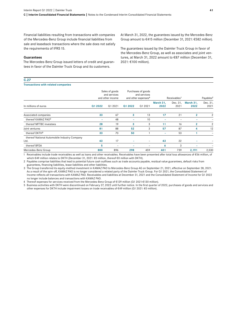Financial liabilities resulting from transactions with companies of the Mercedes-Benz Group include financial liabilities from sale and leaseback transactions where the sale does not satisfy the requirements of IFRS 15.

#### **Guarantees**

The Mercedes-Benz Group issued letters of credit and guarantees in favor of the Daimler Truck Group and its customers.

#### **C.27**

#### **Transactions with related companies**

At March 31, 2022, the guarantees issued by the Mercedes-Benz Group amount to €415 million (December 31, 2021: €582 million).

The guarantees issued by the Daimler Truck Group in favor of the Mercedes-Benz Group, as well as associates and joint ventures, at March 31, 2022 amount to €87 million (December 31, 2021: €100 million).

| In millions of euros                                 | Sales of goods<br>and services<br>and other income |         | Purchases of goods<br>and services<br>and other expenses <sup>4</sup> |         |                   | Receivables <sup>1</sup> |                   | Payables <sup>2</sup> |
|------------------------------------------------------|----------------------------------------------------|---------|-----------------------------------------------------------------------|---------|-------------------|--------------------------|-------------------|-----------------------|
|                                                      | Q1 2022                                            | Q1 2021 | Q1 2022                                                               | Q1 2021 | March 31,<br>2022 | Dec. 31,<br>2021         | March 31,<br>2022 | Dec. 31,<br>2021      |
| Associated companies                                 | 33                                                 | 67      | З                                                                     | 13      | 17                | 21                       | $\mathbf{2}$      | $\overline{2}$        |
| thereof KAMAZ PAO3                                   |                                                    | 48      |                                                                       | 10      |                   |                          |                   |                       |
| thereof MFTBC investees                              | 28                                                 | 19      | з                                                                     | 3       | 11                | 16                       | $\overline{2}$    | $\overline{2}$        |
| Joint ventures                                       | 81                                                 | 88      | 52                                                                    | 3       | 57                | 87                       | 4                 | 12                    |
| thereof DKTH <sup>5</sup>                            | 33                                                 | 70      | 50                                                                    |         |                   | 53                       |                   | -                     |
| thereof National Automobile Industry Company<br>Ltd. | 43                                                 | 17      |                                                                       |         | 43                | 22                       |                   |                       |
| thereof BFDA                                         | 5                                                  |         |                                                                       |         | 6                 | 3                        |                   |                       |
| Mercedes-Benz Group                                  | 800                                                | 896     | 298                                                                   | 459     | 401               | 739                      | 2,191             | 2,530                 |

1 Receivables include trade receivables as well as loans and other receivables. Receivables have been presented after total loss allowances of €56 million, of which €49 million relates to DKTH (December 31, 2021: €0 million, thereof €0 million with DKTH).

2 Payables comprise liabilities that lead to potential future cash outflows such as trade accounts payable, residual value guarantees, default risks from guarantees, financing liabilities, lease liabilities and other liabilities.

3 The Group transferred its equity-method investment in KAMAZ PAO to Mercedes-Benz Group AG on September 21, 2021, effective on September 28, 2021. As a result of the spin-off, KAMAZ PAO is no longer considered a related party of the Daimler Truck Group. For Q1 2021, the Consolidated Statement of Income reflects all transactions with KAMAZ PAO. Receivables and liabilities at December 31, 2021 and the Consolidated Statement of Income for Q1 2022 no longer include balances and transactions with KAMAZ PAO.

4 Thereof expenses for services received from the Mercedes-Benz Group of €129 million (Q1 2021:€130 million).

5 Business activities with DKTH were discontinued on February 27, 2022 until further notice. In the first quarter of 2022, purchases of goods and services and other expenses for DKTH include impairment losses on trade receivables of €49 million (Q1 2021: €0 million).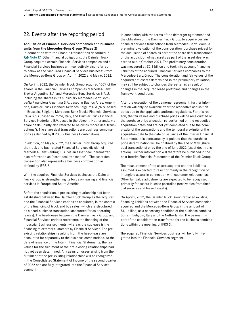## <span id="page-41-0"></span>22. Events after the reporting period

#### **Acquisition of Financial Services companies and business units from the Mercedes-Benz Group (Phase 2)**

In connection with the Phase 2 transactions described in E[Note17.](#page-35-0) Other financial obligations, the Daimler Truck Group acquired certain Financial Services companies and a Financial Services business unit (collectively also referred to below as the "acquired Financial Services business") from the Mercedes-Benz Group on April 1, 2022 and May 6, 2022.

On April 1, 2022, the Daimler Truck Group acquired 100% of the shares in the Financial Services companies Mercedes-Benz Broker Argentina S.A. and Mercedes-Benz Servicios S.A.U. including the shares in its subsidiary Mercedes-Benz Compañía Financiera Argentina S.A. based in Buenos Aires, Argentina, Daimler Truck Financial Services Belgium S.A./N.V. based in Brussels, Belgium, Mercedes-Benz Trucks Financial Services Italia S.p.A. based in Rome, Italy, and Daimler Truck Financial Services Nederland B.V. based in the Utrecht, Netherlands, via share deals (jointly also referred to below as "share deal transactions"). The share deal transactions are business combinations as defined by IFRS 3 – Business Combinations.

In addition, on May 6, 2022, the Daimler Truck Group acquired the truck and bus-related Financial Services division of Mercedes-Benz Renting, S.A. via an asset deal (hereinafter also referred to as "asset deal transaction"). The asset deal transaction also represents a business combination as defined by IFRS 3.

With the acquired Financial Services business, the Daimler Truck Group is strengthening its focus on leasing and financial services in Europe and South America.

Before the acquisition, a pre-existing relationship had been established between the Daimler Truck Group as the acquirer and the Financial Services entities as acquirees, in the context of the financing of truck and bus sales, which are structured as a head-sublease transaction (accounted for as operating leases). The head-lease between the Daimler Truck Group and Financial Services entities represents the financing of the Industrial Business segments, whereas the sublease is the financing to external customers by Financial Services. The preexisting relationships resulting from the head-lease are accounted for separately to the business combinations. At the date of issuance of the Interim Financial Statements, the fair values for the fulfilment of the pre-existing relationships had not yet been determined. Any gains or losses arising from the fulfilment of the pre-existing relationships will be recognized in the Consolidated Statement of Income of the second quarter of 2022 and are fully integrated into the Financial Services segment.

In connection with the terms of the demerger agreement and the obligation of the Daimler Truck Group to acquire certain financial services transactions from Mercedes-Benz Group, a preliminary valuation of the consideration (purchase prices) for the acquisition of shares as part of the share deal transactions or the acquisition of net assets as part of the asset deal was carried out in October 2021. The preliminary consideration was measured at €0.3 billion and took into account financing liabilities of the acquired Financial Services companies to the Mercedes-Benz Group. The consideration and fair values of the acquired net assets determined in the preliminary valuation may still be subject to changes thereafter as a result of changes in the acquired lease portfolios and changes in the framework conditions.

After the execution of the demerger agreement, further information will only be available after the respective acquisition dates due to the applicable antitrust regulations. For this reason, the fair values and purchase prices will be recalculated or the purchase price allocation re-performed on the respective acquisition dates and are not yet completed due to the complexity of the transactions and the temporal proximity of the acquisition date to the date of issuance of the Interim Financial Statements. It is contractually stipulated that the purchase price determination will be finalized by the end of May (share deal transactions) or by the end of June 2022 (asset deal transaction). Further information will therefore be published in the next Interim Financial Statements of the Daimler Truck Group.

The measurement of the assets acquired and the liabilities assumed is expected to result primarily in the recognition of intangible assets in connection with customer relationships. Other fair value adjustments are expected to be recognized primarily for assets in lease portfolios (receivables from financial services and leased assets).

On April 1, 2022, the Daimler Truck Group replaced existing financing liabilities between the Financial Services companies acquired and the Mercedes-Benz Group in the amount of €1.1 billion, as a necessary condition of the business combinations in Belgium, Italy and the Netherlands. The payment is part of the consideration transferred for the business combinations within the meaning of IFRS 3.

The acquired Financial Services business will be fully integrated into the Financial Services segment.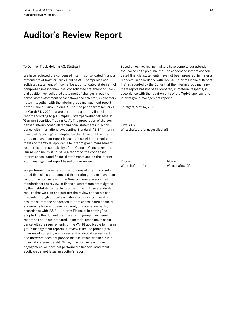## **Auditor's Review Report**

#### To Daimler Truck Holding AG, Stuttgart

We have reviewed the condensed interim consolidated financial statements of Daimler Truck Holding AG – comprising consolidated statement of income/loss, consolidated statement of comprehensive income/loss, consolidated statement of financial position, consolidated statement of changes in equity, consolidated statement of cash flows and selected, explanatory notes – together with the interim group management report of the Daimler Truck Holding AG, for the period from January1 to March 31, 2022 that are part of the quarterly financial report according to §115 WpHG ["Wertpapierhandelsgesetz": "German Securities Trading Act"]. The preparation of the condensed interim consolidated financial statements in accordance with International Accounting Standard IAS 34 "Interim Financial Reporting" as adopted by the EU, and of the interim group management report in accordance with the requirements of the WpHG applicable to interim group management reports, is the responsibility of the Company's management. Our responsibility is to issue a report on the condensed interim consolidated financial statements and on the interim group management report based on our review.

We performed our review of the condensed interim consolidated financial statements and the interim group management report in accordance with the German generally accepted standards for the review of financial statements promulgated by the Institut der Wirtschaftsprüfer (IDW). Those standards require that we plan and perform the review so that we can preclude through critical evaluation, with a certain level of assurance, that the condensed interim consolidated financial statements have not been prepared, in material respects, in accordance with IAS 34, "Interim Financial Reporting" as adopted by the EU, and that the interim group management report has not been prepared, in material respects, in accordance with the requirements of the WpHG applicable to interim group management reports. A review is limited primarily to inquiries of company employees and analytical assessments and therefore does not provide the assurance attainable in a financial statement audit. Since, in accordance with our engagement, we have not performed a financial statement audit, we cannot issue an auditor's report.

Based on our review, no matters have come to our attention that cause us to presume that the condensed interim consolidated financial statements have not been prepared, in material respects, in accordance with IAS 34, "Interim Financial Reporting" as adopted by the EU, or that the interim group management report has not been prepared, in material respects, in accordance with the requirements of the WpHG applicable to interim group management reports.

Stuttgart, May16, 2022

KPMG AG Wirtschaftsprüfungsgesellschaft

Pritzer Mokler Wirtschaftsprüfer Wirtschaftsprüfer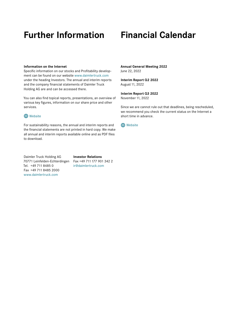## **Further Information Financial Calendar**

#### **Information on the Internet**

Specific information on our stocks and Profitability development can be found on our website [www.daimlertruck.com](https://www.daimlertruck.com/en/) under the heading Investors. The annual and interim reports and the company financial statements of Daimler Truck Holding AG are and can be accessed there.

You can also find topical reports, presentations, an overview of various key figures, information on our share price and other services.

#### **A** [Website](https://www.daimlertruck.com/investors/)

For sustainability reasons, the annual and interim reports and the financial statements are not printed in hard copy. We make all annual and interim reports available online and as PDF files to download.

Daimler Truck Holding AG **Investor Relations** 70771 Leinfelden-Echterdingen Fax +49 711177 901 342 2 Tel. +49 711 8485 0 ir@daimlertruck.com Fax +49 711 8485 2000 [www.daimlertruck.com](https://www.daimlertruck.com/en/)

**Annual General Meeting 2022** June 22, 2022

#### **Interim Report Q2 2022** August11, 2022

**Interim Report Q3 2022** November11, 2022

Since we are cannot rule out that deadlines, being rescheduled, we recommend you check the current status on the Internet a short time in advance.